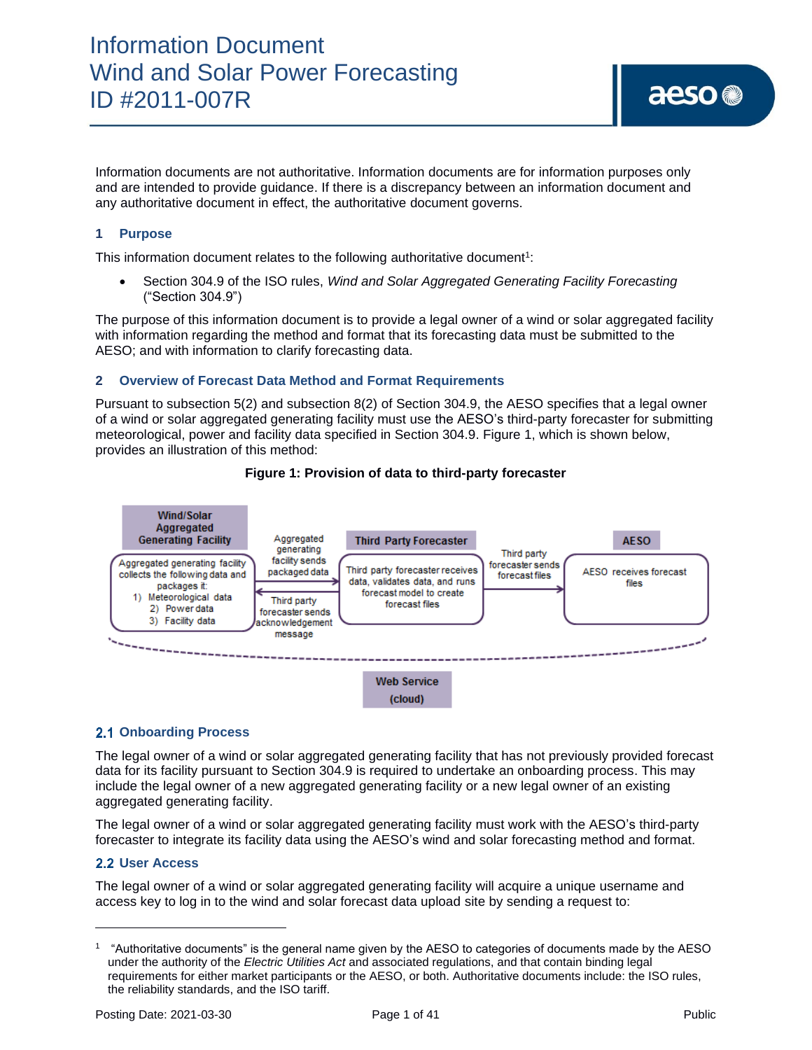Information documents are not authoritative. Information documents are for information purposes only and are intended to provide guidance. If there is a discrepancy between an information document and any authoritative document in effect, the authoritative document governs.

### **1 Purpose**

This information document relates to the following authoritative document<sup>1</sup>:

• Section 304.9 of the ISO rules, *Wind and Solar Aggregated Generating Facility Forecasting* ("Section 304.9")

The purpose of this information document is to provide a legal owner of a wind or solar aggregated facility with information regarding the method and format that its forecasting data must be submitted to the AESO; and with information to clarify forecasting data.

### **2 Overview of Forecast Data Method and Format Requirements**

Pursuant to subsection 5(2) and subsection 8(2) of Section 304.9, the AESO specifies that a legal owner of a wind or solar aggregated generating facility must use the AESO's third-party forecaster for submitting meteorological, power and facility data specified in Section 304.9. Figure 1, which is shown below, provides an illustration of this method:



#### **Figure 1: Provision of data to third-party forecaster**

## **2.1 Onboarding Process**

The legal owner of a wind or solar aggregated generating facility that has not previously provided forecast data for its facility pursuant to Section 304.9 is required to undertake an onboarding process. This may include the legal owner of a new aggregated generating facility or a new legal owner of an existing aggregated generating facility.

The legal owner of a wind or solar aggregated generating facility must work with the AESO's third-party forecaster to integrate its facility data using the AESO's wind and solar forecasting method and format.

## **User Access**

The legal owner of a wind or solar aggregated generating facility will acquire a unique username and access key to log in to the wind and solar forecast data upload site by sending a request to:

<sup>1</sup> "Authoritative documents" is the general name given by the AESO to categories of documents made by the AESO under the authority of the *Electric Utilities Act* and associated regulations, and that contain binding legal requirements for either market participants or the AESO, or both. Authoritative documents include: the ISO rules, the reliability standards, and the ISO tariff.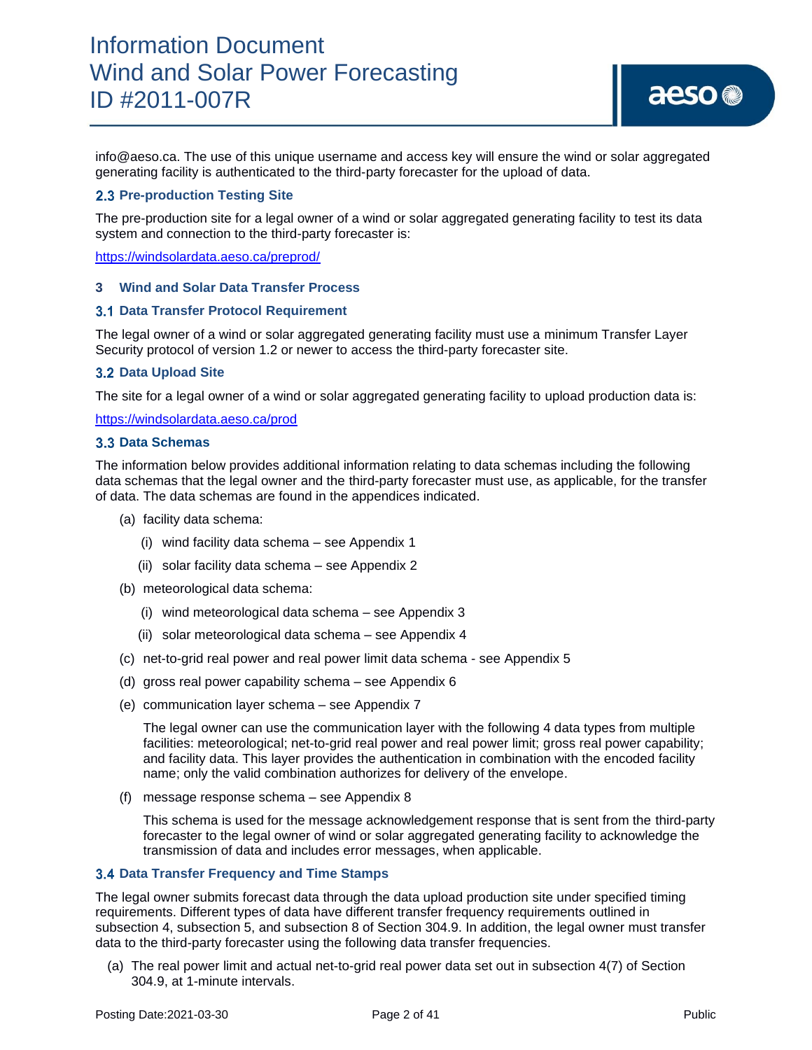info@aeso.ca. The use of this unique username and access key will ensure the wind or solar aggregated generating facility is authenticated to the third-party forecaster for the upload of data.

### **2.3 Pre-production Testing Site**

The pre-production site for a legal owner of a wind or solar aggregated generating facility to test its data system and connection to the third-party forecaster is:

<https://windsolardata.aeso.ca/preprod/>

#### **3 Wind and Solar Data Transfer Process**

#### **Data Transfer Protocol Requirement**

The legal owner of a wind or solar aggregated generating facility must use a minimum Transfer Layer Security protocol of version 1.2 or newer to access the third-party forecaster site.

#### **3.2 Data Upload Site**

The site for a legal owner of a wind or solar aggregated generating facility to upload production data is:

<https://windsolardata.aeso.ca/prod>

#### **Data Schemas**

The information below provides additional information relating to data schemas including the following data schemas that the legal owner and the third-party forecaster must use, as applicable, for the transfer of data. The data schemas are found in the appendices indicated.

- (a) facility data schema:
	- (i) wind facility data schema see Appendix 1
	- (ii) solar facility data schema see Appendix 2
- (b) meteorological data schema:
	- (i) wind meteorological data schema see Appendix 3
	- (ii) solar meteorological data schema see Appendix 4
- (c) net-to-grid real power and real power limit data schema see Appendix 5
- (d) gross real power capability schema see Appendix 6
- (e) communication layer schema see Appendix 7

The legal owner can use the communication layer with the following 4 data types from multiple facilities: meteorological; net-to-grid real power and real power limit; gross real power capability; and facility data. This layer provides the authentication in combination with the encoded facility name; only the valid combination authorizes for delivery of the envelope.

(f) message response schema – see Appendix 8

This schema is used for the message acknowledgement response that is sent from the third-party forecaster to the legal owner of wind or solar aggregated generating facility to acknowledge the transmission of data and includes error messages, when applicable.

#### **Data Transfer Frequency and Time Stamps**

The legal owner submits forecast data through the data upload production site under specified timing requirements. Different types of data have different transfer frequency requirements outlined in subsection 4, subsection 5, and subsection 8 of Section 304.9. In addition, the legal owner must transfer data to the third-party forecaster using the following data transfer frequencies.

(a) The real power limit and actual net-to-grid real power data set out in subsection 4(7) of Section 304.9, at 1-minute intervals.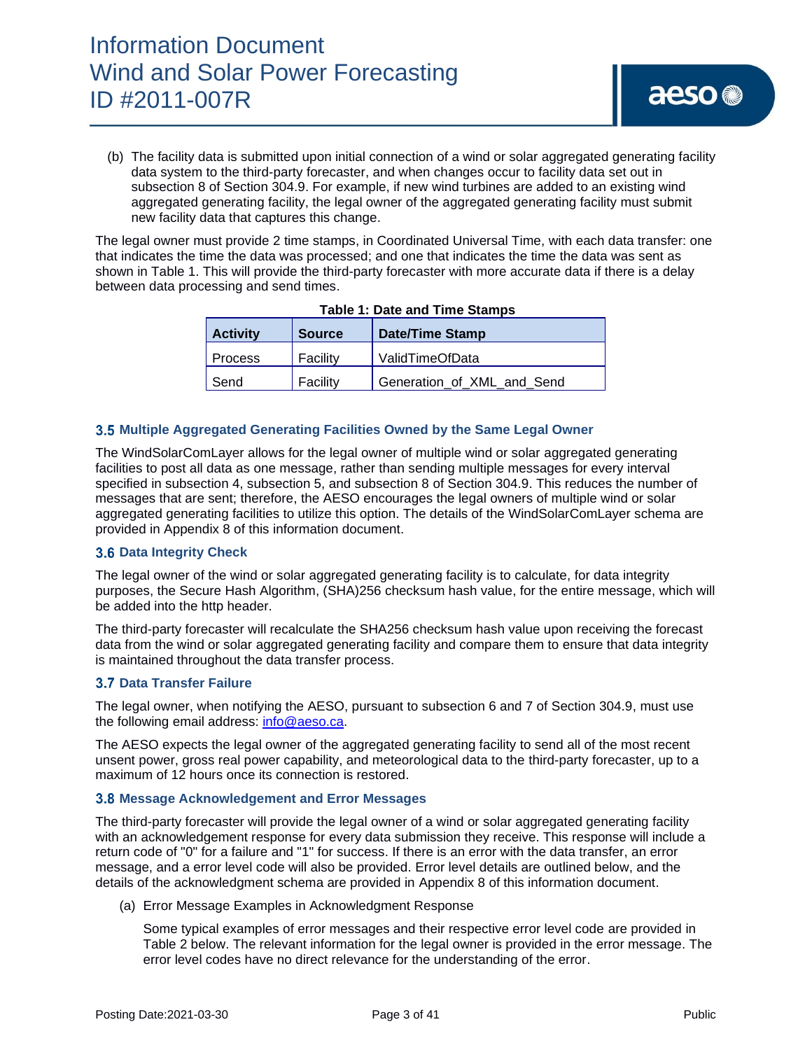(b) The facility data is submitted upon initial connection of a wind or solar aggregated generating facility data system to the third-party forecaster, and when changes occur to facility data set out in subsection 8 of Section 304.9. For example, if new wind turbines are added to an existing wind aggregated generating facility, the legal owner of the aggregated generating facility must submit new facility data that captures this change.

The legal owner must provide 2 time stamps, in Coordinated Universal Time, with each data transfer: one that indicates the time the data was processed; and one that indicates the time the data was sent as shown in Table 1. This will provide the third-party forecaster with more accurate data if there is a delay between data processing and send times.

| <b>Activity</b> | <b>Source</b> | <b>Date/Time Stamp</b>     |
|-----------------|---------------|----------------------------|
| <b>Process</b>  | Facility      | ValidTimeOfData            |
| Send            | Facility      | Generation_of_XML_and_Send |

#### **Table 1: Date and Time Stamps**

### **Multiple Aggregated Generating Facilities Owned by the Same Legal Owner**

The WindSolarComLayer allows for the legal owner of multiple wind or solar aggregated generating facilities to post all data as one message, rather than sending multiple messages for every interval specified in subsection 4, subsection 5, and subsection 8 of Section 304.9. This reduces the number of messages that are sent; therefore, the AESO encourages the legal owners of multiple wind or solar aggregated generating facilities to utilize this option. The details of the WindSolarComLayer schema are provided in Appendix 8 of this information document.

### **Data Integrity Check**

The legal owner of the wind or solar aggregated generating facility is to calculate, for data integrity purposes, the Secure Hash Algorithm, (SHA)256 checksum hash value, for the entire message, which will be added into the http header.

The third-party forecaster will recalculate the SHA256 checksum hash value upon receiving the forecast data from the wind or solar aggregated generating facility and compare them to ensure that data integrity is maintained throughout the data transfer process.

### **Data Transfer Failure**

The legal owner, when notifying the AESO, pursuant to subsection 6 and 7 of Section 304.9, must use the following email address: [info@aeso.ca.](mailto:info@aeso.ca)

The AESO expects the legal owner of the aggregated generating facility to send all of the most recent unsent power, gross real power capability, and meteorological data to the third-party forecaster, up to a maximum of 12 hours once its connection is restored.

#### **Message Acknowledgement and Error Messages**

The third-party forecaster will provide the legal owner of a wind or solar aggregated generating facility with an acknowledgement response for every data submission they receive. This response will include a return code of "0" for a failure and "1" for success. If there is an error with the data transfer, an error message, and a error level code will also be provided. Error level details are outlined below, and the details of the acknowledgment schema are provided in Appendix 8 of this information document.

(a) Error Message Examples in Acknowledgment Response

Some typical examples of error messages and their respective error level code are provided in Table 2 below. The relevant information for the legal owner is provided in the error message. The error level codes have no direct relevance for the understanding of the error.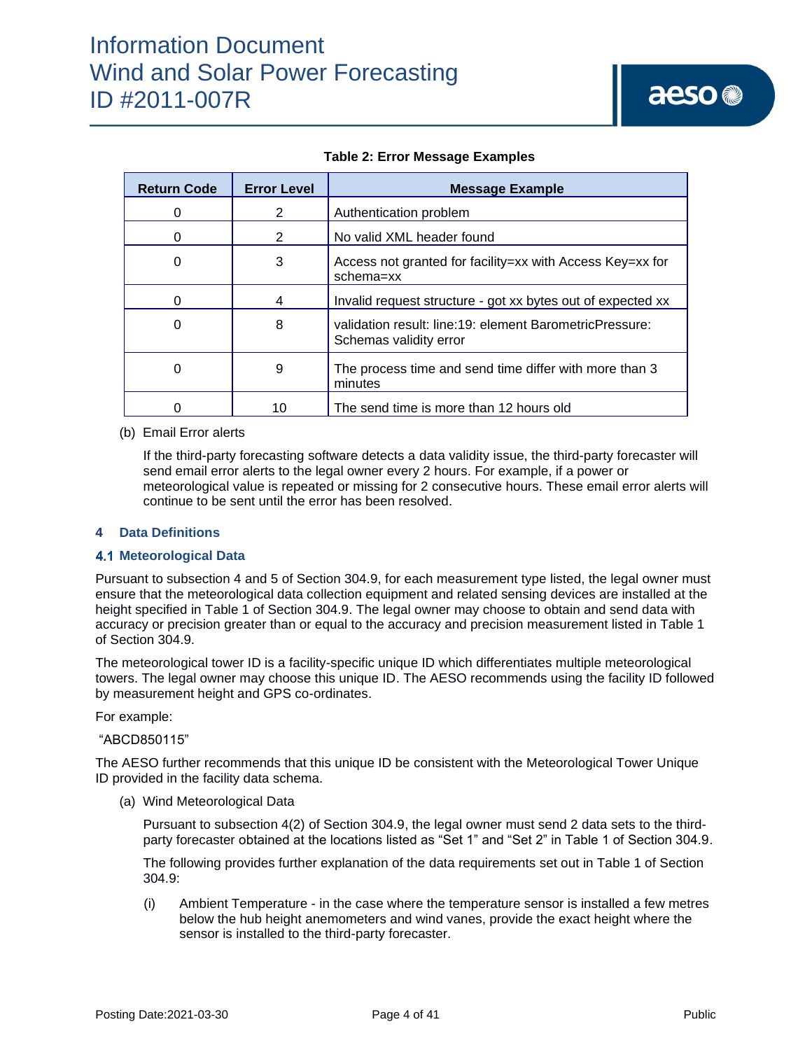| <b>Return Code</b> | <b>Error Level</b> | Message Example                                                                   |
|--------------------|--------------------|-----------------------------------------------------------------------------------|
| O                  | 2                  | Authentication problem                                                            |
| 0                  | 2                  | No valid XML header found                                                         |
| 0                  | 3                  | Access not granted for facility=xx with Access Key=xx for<br>schema=xx            |
| 0                  | 4                  | Invalid request structure - got xx bytes out of expected xx                       |
| 0                  | 8                  | validation result: line:19; element BarometricPressure:<br>Schemas validity error |
| 0                  | 9                  | The process time and send time differ with more than 3<br>minutes                 |
|                    | 10                 | The send time is more than 12 hours old                                           |

### **Table 2: Error Message Examples**

#### (b) Email Error alerts

If the third-party forecasting software detects a data validity issue, the third-party forecaster will send email error alerts to the legal owner every 2 hours. For example, if a power or meteorological value is repeated or missing for 2 consecutive hours. These email error alerts will continue to be sent until the error has been resolved.

#### **4 Data Definitions**

### **Meteorological Data**

Pursuant to subsection 4 and 5 of Section 304.9, for each measurement type listed, the legal owner must ensure that the meteorological data collection equipment and related sensing devices are installed at the height specified in Table 1 of Section 304.9. The legal owner may choose to obtain and send data with accuracy or precision greater than or equal to the accuracy and precision measurement listed in Table 1 of Section 304.9.

The meteorological tower ID is a facility-specific unique ID which differentiates multiple meteorological towers. The legal owner may choose this unique ID. The AESO recommends using the facility ID followed by measurement height and GPS co-ordinates.

#### For example:

#### "ABCD850115"

The AESO further recommends that this unique ID be consistent with the Meteorological Tower Unique ID provided in the facility data schema.

(a) Wind Meteorological Data

Pursuant to subsection 4(2) of Section 304.9, the legal owner must send 2 data sets to the thirdparty forecaster obtained at the locations listed as "Set 1" and "Set 2" in Table 1 of Section 304.9.

The following provides further explanation of the data requirements set out in Table 1 of Section 304.9:

(i) Ambient Temperature - in the case where the temperature sensor is installed a few metres below the hub height anemometers and wind vanes, provide the exact height where the sensor is installed to the third-party forecaster.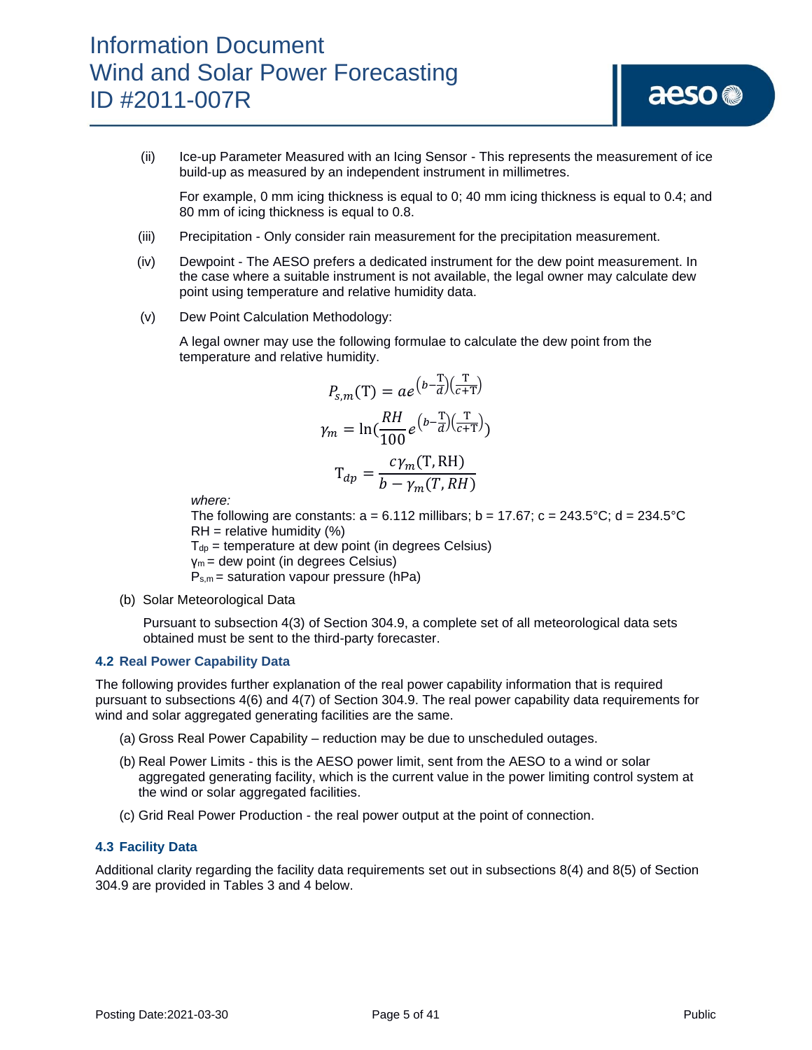(ii) Ice-up Parameter Measured with an Icing Sensor - This represents the measurement of ice build-up as measured by an independent instrument in millimetres.

For example, 0 mm icing thickness is equal to 0; 40 mm icing thickness is equal to 0.4; and 80 mm of icing thickness is equal to 0.8.

- (iii) Precipitation Only consider rain measurement for the precipitation measurement.
- (iv) Dewpoint The AESO prefers a dedicated instrument for the dew point measurement. In the case where a suitable instrument is not available, the legal owner may calculate dew point using temperature and relative humidity data.
- (v) Dew Point Calculation Methodology:

A legal owner may use the following formulae to calculate the dew point from the temperature and relative humidity.

$$
P_{s,m}(T) = ae^{\left(b - \frac{T}{d}\right)\left(\frac{T}{c + T}\right)}
$$

$$
\gamma_m = \ln\left(\frac{RH}{100}e^{\left(b - \frac{T}{d}\right)\left(\frac{T}{c + T}\right)}\right)
$$

$$
T_{dp} = \frac{c\gamma_m(T, RH)}{b - \gamma_m(T, RH)}
$$

*where:*

The following are constants:  $a = 6.112$  millibars;  $b = 17.67$ ;  $c = 243.5^{\circ}C$ ;  $d = 234.5^{\circ}C$  $RH =$  relative humidity  $(\%)$ 

 $T_{dp}$  = temperature at dew point (in degrees Celsius)

γm = dew point (in degrees Celsius)

 $P_{s,m}$  = saturation vapour pressure (hPa)

(b) Solar Meteorological Data

Pursuant to subsection 4(3) of Section 304.9, a complete set of all meteorological data sets obtained must be sent to the third-party forecaster.

#### **4.2 Real Power Capability Data**

The following provides further explanation of the real power capability information that is required pursuant to subsections 4(6) and 4(7) of Section 304.9. The real power capability data requirements for wind and solar aggregated generating facilities are the same.

- (a) Gross Real Power Capability reduction may be due to unscheduled outages.
- (b) Real Power Limits this is the AESO power limit, sent from the AESO to a wind or solar aggregated generating facility, which is the current value in the power limiting control system at the wind or solar aggregated facilities.
- (c) Grid Real Power Production the real power output at the point of connection.

#### **4.3 Facility Data**

Additional clarity regarding the facility data requirements set out in subsections 8(4) and 8(5) of Section 304.9 are provided in Tables 3 and 4 below.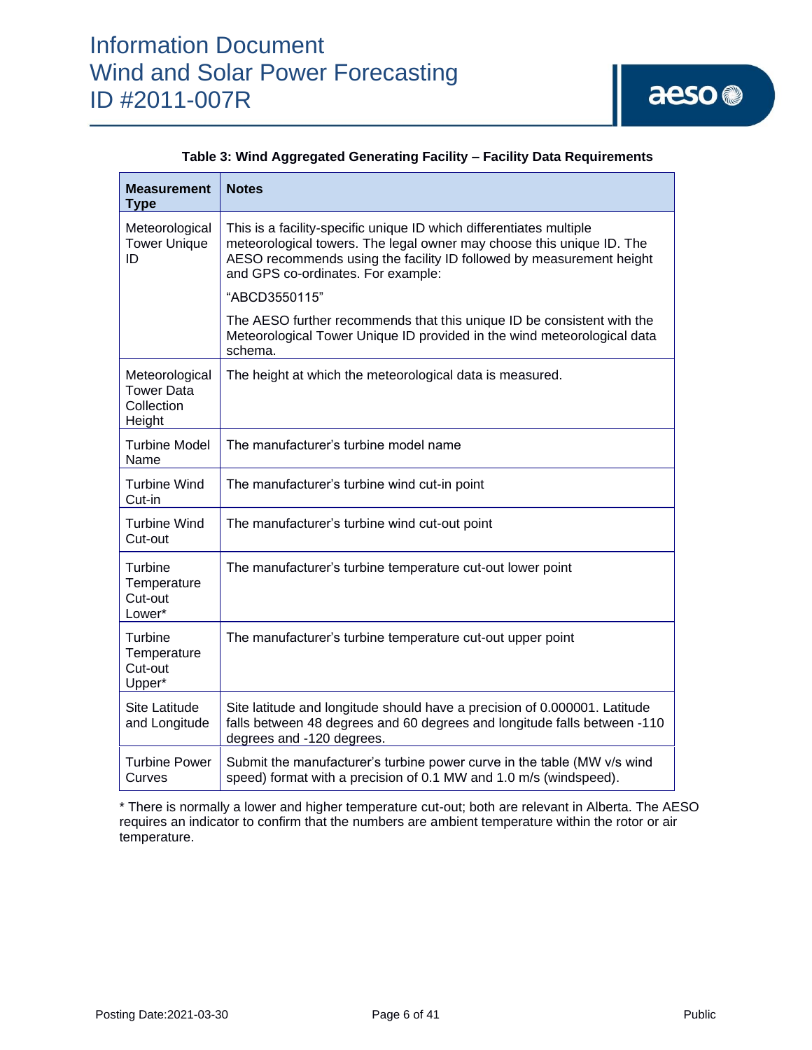

| Measurement<br><b>Type</b>                                  | <b>Notes</b>                                                                                                                                                                                                                                               |
|-------------------------------------------------------------|------------------------------------------------------------------------------------------------------------------------------------------------------------------------------------------------------------------------------------------------------------|
| Meteorological<br><b>Tower Unique</b><br>ID                 | This is a facility-specific unique ID which differentiates multiple<br>meteorological towers. The legal owner may choose this unique ID. The<br>AESO recommends using the facility ID followed by measurement height<br>and GPS co-ordinates. For example: |
|                                                             | "ABCD3550115"                                                                                                                                                                                                                                              |
|                                                             | The AESO further recommends that this unique ID be consistent with the<br>Meteorological Tower Unique ID provided in the wind meteorological data<br>schema.                                                                                               |
| Meteorological<br><b>Tower Data</b><br>Collection<br>Height | The height at which the meteorological data is measured.                                                                                                                                                                                                   |
| <b>Turbine Model</b><br>Name                                | The manufacturer's turbine model name                                                                                                                                                                                                                      |
| Turbine Wind<br>Cut-in                                      | The manufacturer's turbine wind cut-in point                                                                                                                                                                                                               |
| Turbine Wind<br>Cut-out                                     | The manufacturer's turbine wind cut-out point                                                                                                                                                                                                              |
| <b>Turbine</b><br>Temperature<br>Cut-out<br>Lower*          | The manufacturer's turbine temperature cut-out lower point                                                                                                                                                                                                 |
| Turbine<br>Temperature<br>Cut-out<br>Upper*                 | The manufacturer's turbine temperature cut-out upper point                                                                                                                                                                                                 |
| Site Latitude<br>and Longitude                              | Site latitude and longitude should have a precision of 0.000001. Latitude<br>falls between 48 degrees and 60 degrees and longitude falls between -110<br>degrees and -120 degrees.                                                                         |
| <b>Turbine Power</b><br>Curves                              | Submit the manufacturer's turbine power curve in the table (MW v/s wind<br>speed) format with a precision of 0.1 MW and 1.0 m/s (windspeed).                                                                                                               |

| Table 3: Wind Aggregated Generating Facility - Facility Data Requirements |  |  |
|---------------------------------------------------------------------------|--|--|
|                                                                           |  |  |

\* There is normally a lower and higher temperature cut-out; both are relevant in Alberta. The AESO requires an indicator to confirm that the numbers are ambient temperature within the rotor or air temperature.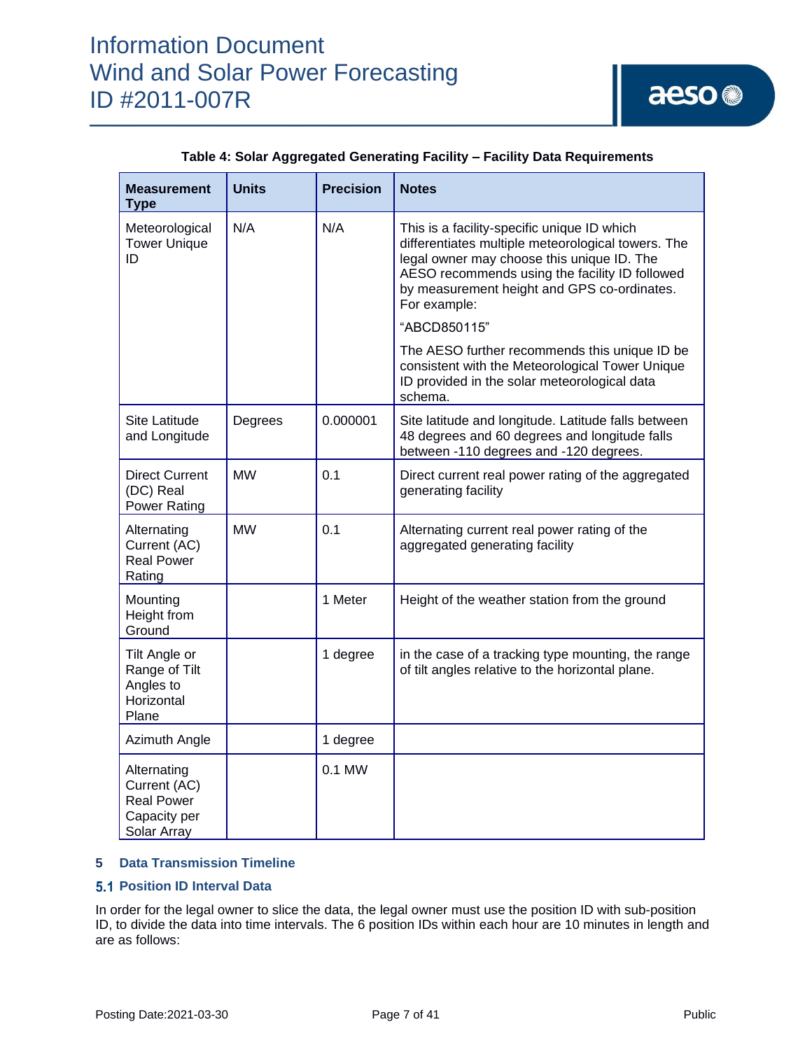| <b>Measurement</b><br><b>Type</b>                                               | <b>Units</b> | <b>Precision</b> | <b>Notes</b>                                                                                                                                                                                                                                                     |
|---------------------------------------------------------------------------------|--------------|------------------|------------------------------------------------------------------------------------------------------------------------------------------------------------------------------------------------------------------------------------------------------------------|
| Meteorological<br><b>Tower Unique</b><br>ID                                     | N/A          | N/A              | This is a facility-specific unique ID which<br>differentiates multiple meteorological towers. The<br>legal owner may choose this unique ID. The<br>AESO recommends using the facility ID followed<br>by measurement height and GPS co-ordinates.<br>For example: |
|                                                                                 |              |                  | "ABCD850115"                                                                                                                                                                                                                                                     |
|                                                                                 |              |                  | The AESO further recommends this unique ID be<br>consistent with the Meteorological Tower Unique<br>ID provided in the solar meteorological data<br>schema.                                                                                                      |
| Site Latitude<br>and Longitude                                                  | Degrees      | 0.000001         | Site latitude and longitude. Latitude falls between<br>48 degrees and 60 degrees and longitude falls<br>between -110 degrees and -120 degrees.                                                                                                                   |
| <b>Direct Current</b><br>(DC) Real<br><b>Power Rating</b>                       | <b>MW</b>    | 0.1              | Direct current real power rating of the aggregated<br>generating facility                                                                                                                                                                                        |
| Alternating<br>Current (AC)<br><b>Real Power</b><br>Rating                      | <b>MW</b>    | 0.1              | Alternating current real power rating of the<br>aggregated generating facility                                                                                                                                                                                   |
| Mounting<br>Height from<br>Ground                                               |              | 1 Meter          | Height of the weather station from the ground                                                                                                                                                                                                                    |
| Tilt Angle or<br>Range of Tilt<br>Angles to<br>Horizontal<br>Plane              |              | 1 degree         | in the case of a tracking type mounting, the range<br>of tilt angles relative to the horizontal plane.                                                                                                                                                           |
| Azimuth Angle                                                                   |              | 1 degree         |                                                                                                                                                                                                                                                                  |
| Alternating<br>Current (AC)<br><b>Real Power</b><br>Capacity per<br>Solar Array |              | 0.1 MW           |                                                                                                                                                                                                                                                                  |

## **Table 4: Solar Aggregated Generating Facility – Facility Data Requirements**

### **5 Data Transmission Timeline**

### **5.1 Position ID Interval Data**

In order for the legal owner to slice the data, the legal owner must use the position ID with sub-position ID, to divide the data into time intervals. The 6 position IDs within each hour are 10 minutes in length and are as follows: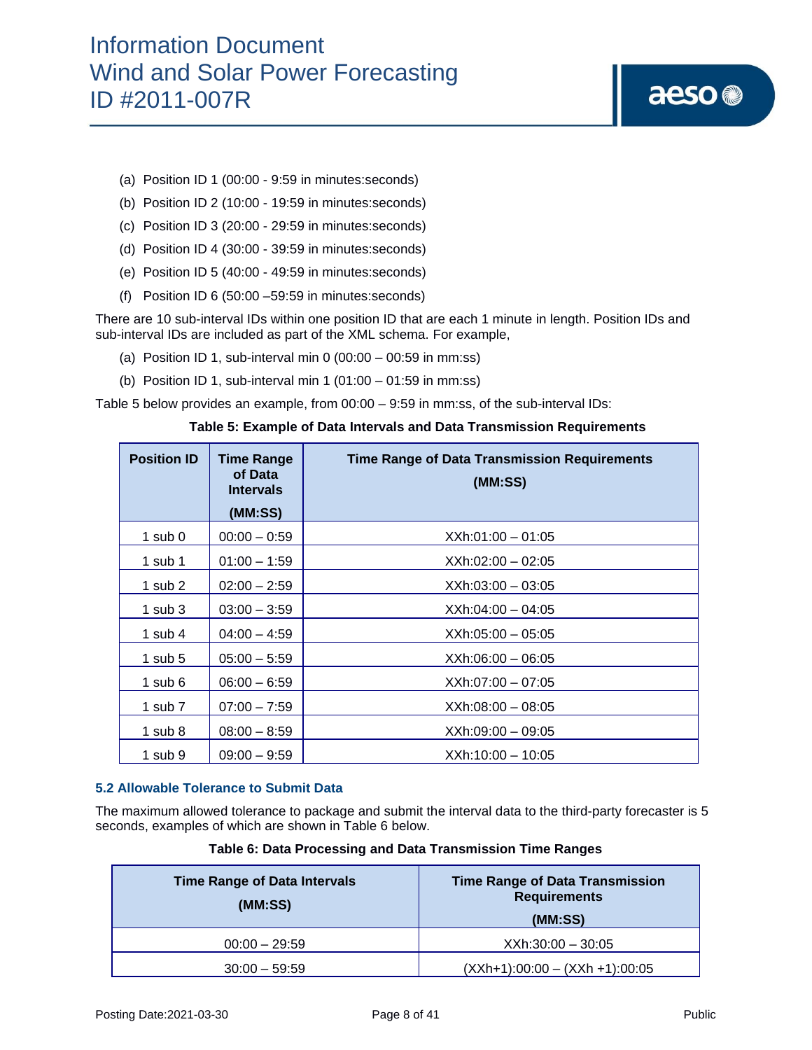- (a) Position ID 1 (00:00 9:59 in minutes:seconds)
- (b) Position ID 2 (10:00 19:59 in minutes:seconds)
- (c) Position ID 3 (20:00 29:59 in minutes:seconds)
- (d) Position ID 4 (30:00 39:59 in minutes:seconds)
- (e) Position ID 5 (40:00 49:59 in minutes:seconds)
- (f) Position ID 6 (50:00 –59:59 in minutes:seconds)

There are 10 sub-interval IDs within one position ID that are each 1 minute in length. Position IDs and sub-interval IDs are included as part of the XML schema. For example,

- (a) Position ID 1, sub-interval min 0  $(00:00 00:59$  in mm:ss)
- (b) Position ID 1, sub-interval min 1  $(01:00 01:59$  in mm:ss)

Table 5 below provides an example, from 00:00 – 9:59 in mm:ss, of the sub-interval IDs:

| <b>Position ID</b> | <b>Time Range</b><br>of Data<br><b>Intervals</b> | <b>Time Range of Data Transmission Requirements</b><br>(MM:SS) |
|--------------------|--------------------------------------------------|----------------------------------------------------------------|
|                    | (MM:SS)                                          |                                                                |
| $1$ sub $0$        | $00:00 - 0:59$                                   | $XXh:01:00 - 01:05$                                            |
| 1 sub $1$          | $01:00 - 1:59$                                   | XXh:02:00 - 02:05                                              |
| 1 sub $2$          | $02:00 - 2:59$                                   | $XXh:03:00 - 03:05$                                            |
| 1 sub $3$          | $03:00 - 3:59$                                   | $XXh:04:00 - 04:05$                                            |
| 1 sub 4            | $04:00 - 4:59$                                   | $XXh:05:00 - 05:05$                                            |
| 1 sub $5$          | $05:00 - 5:59$                                   | $XXh:06:00 - 06:05$                                            |
| 1 sub $6$          | $06:00 - 6:59$                                   | XXh:07:00 - 07:05                                              |
| 1 sub $7$          | $07:00 - 7:59$                                   | $XXh:08:00 - 08:05$                                            |
| 1 sub $8$          | $08:00 - 8:59$                                   | XXh:09:00 - 09:05                                              |
| 1 sub $9$          | $09:00 - 9:59$                                   | $XXh:10:00 - 10:05$                                            |

#### **Table 5: Example of Data Intervals and Data Transmission Requirements**

#### **5.2 Allowable Tolerance to Submit Data**

The maximum allowed tolerance to package and submit the interval data to the third-party forecaster is 5 seconds, examples of which are shown in Table 6 below.

| <b>Time Range of Data Intervals</b><br>(MM:SS) | <b>Time Range of Data Transmission</b><br><b>Requirements</b><br>(MM:SS) |
|------------------------------------------------|--------------------------------------------------------------------------|
| $00:00 - 29:59$                                | $XXh:30:00 - 30:05$                                                      |
| $30:00 - 59:59$                                | $(XXh+1):00:00 - (XXh +1):00:05$                                         |

#### **Table 6: Data Processing and Data Transmission Time Ranges**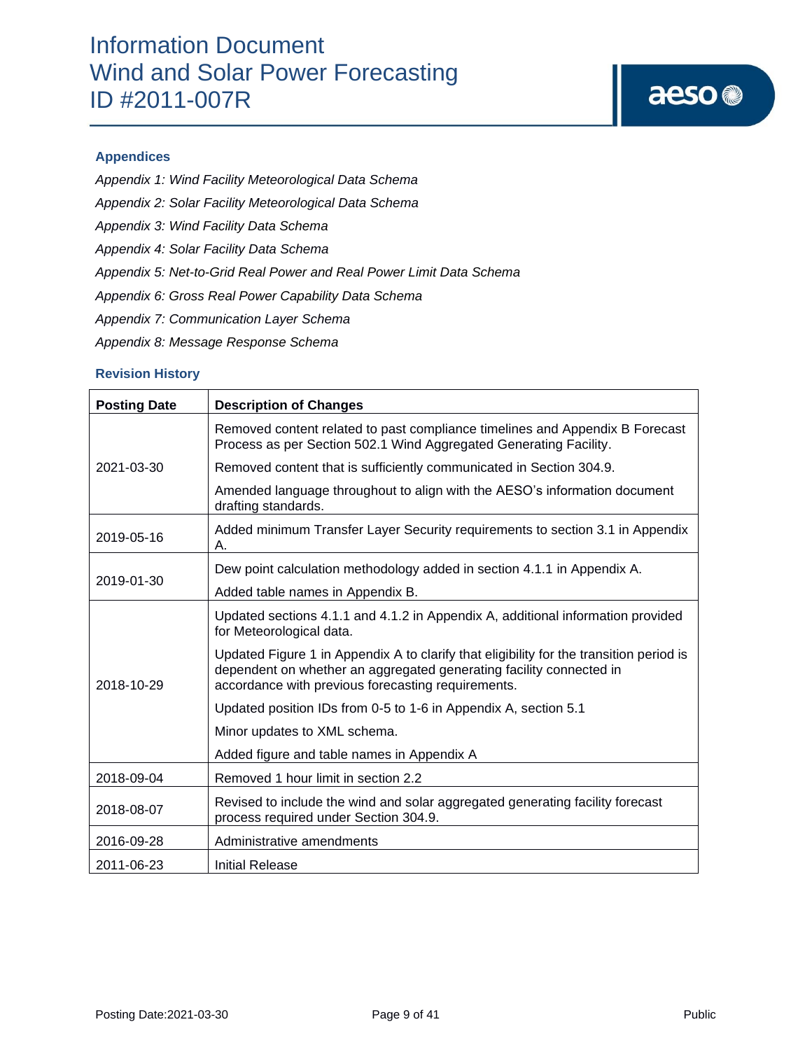# aeso<sup>®</sup>

## **Appendices**

- *Appendix 1: Wind Facility Meteorological Data Schema*
- *Appendix 2: Solar Facility Meteorological Data Schema*
- *Appendix 3: Wind Facility Data Schema*
- *Appendix 4: Solar Facility Data Schema*
- *Appendix 5: Net-to-Grid Real Power and Real Power Limit Data Schema*
- *Appendix 6: Gross Real Power Capability Data Schema*
- *Appendix 7: Communication Layer Schema*
- *Appendix 8: Message Response Schema*

### **Revision History**

| <b>Posting Date</b> | <b>Description of Changes</b>                                                                                                                                                                                        |
|---------------------|----------------------------------------------------------------------------------------------------------------------------------------------------------------------------------------------------------------------|
|                     | Removed content related to past compliance timelines and Appendix B Forecast<br>Process as per Section 502.1 Wind Aggregated Generating Facility.                                                                    |
| 2021-03-30          | Removed content that is sufficiently communicated in Section 304.9.                                                                                                                                                  |
|                     | Amended language throughout to align with the AESO's information document<br>drafting standards.                                                                                                                     |
| 2019-05-16          | Added minimum Transfer Layer Security requirements to section 3.1 in Appendix<br>А.                                                                                                                                  |
| 2019-01-30          | Dew point calculation methodology added in section 4.1.1 in Appendix A.                                                                                                                                              |
|                     | Added table names in Appendix B.                                                                                                                                                                                     |
| 2018-10-29          | Updated sections 4.1.1 and 4.1.2 in Appendix A, additional information provided<br>for Meteorological data.                                                                                                          |
|                     | Updated Figure 1 in Appendix A to clarify that eligibility for the transition period is<br>dependent on whether an aggregated generating facility connected in<br>accordance with previous forecasting requirements. |
|                     | Updated position IDs from 0-5 to 1-6 in Appendix A, section 5.1                                                                                                                                                      |
|                     | Minor updates to XML schema.                                                                                                                                                                                         |
|                     | Added figure and table names in Appendix A                                                                                                                                                                           |
| 2018-09-04          | Removed 1 hour limit in section 2.2                                                                                                                                                                                  |
| 2018-08-07          | Revised to include the wind and solar aggregated generating facility forecast<br>process required under Section 304.9.                                                                                               |
| 2016-09-28          | Administrative amendments                                                                                                                                                                                            |
| 2011-06-23          | Initial Release                                                                                                                                                                                                      |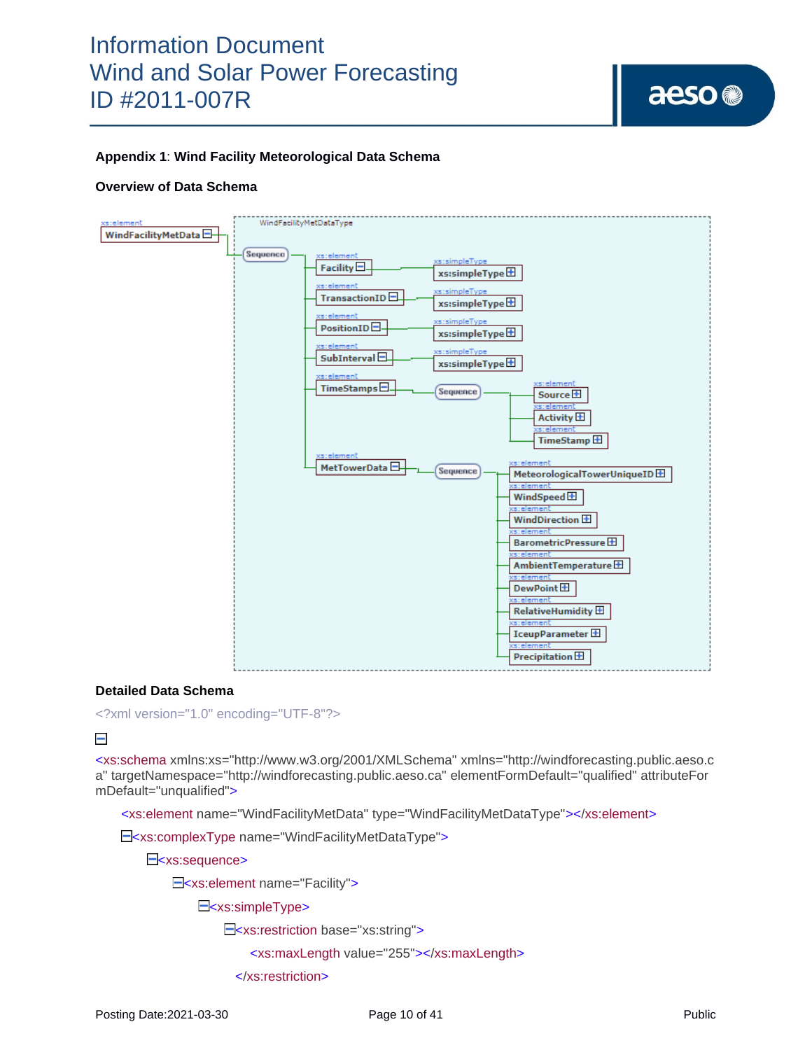aeso<sup>®</sup>

## **Appendix 1**: **Wind Facility Meteorological Data Schema**

#### **Overview of Data Schema**



#### **Detailed Data Schema**

<?xml version="1.0" encoding="UTF-8"?>

#### $\overline{\phantom{0}}$

<xs:schema xmlns:xs="http://www.w3.org/2001/XMLSchema" xmlns="http://windforecasting.public.aeso.c a" targetNamespace="http://windforecasting.public.aeso.ca" elementFormDefault="qualified" attributeFor mDefault="unqualified">

<xs:element name="WindFacilityMetData" type="WindFacilityMetDataType"></xs:element>

E<xs:complexType name="WindFacilityMetDataType">

E<xs:sequence>

E<xs:element name="Facility">

E<xs:simpleType>

<xs:restriction base="xs:string">

<xs:maxLength value="255"></xs:maxLength>

</xs:restriction>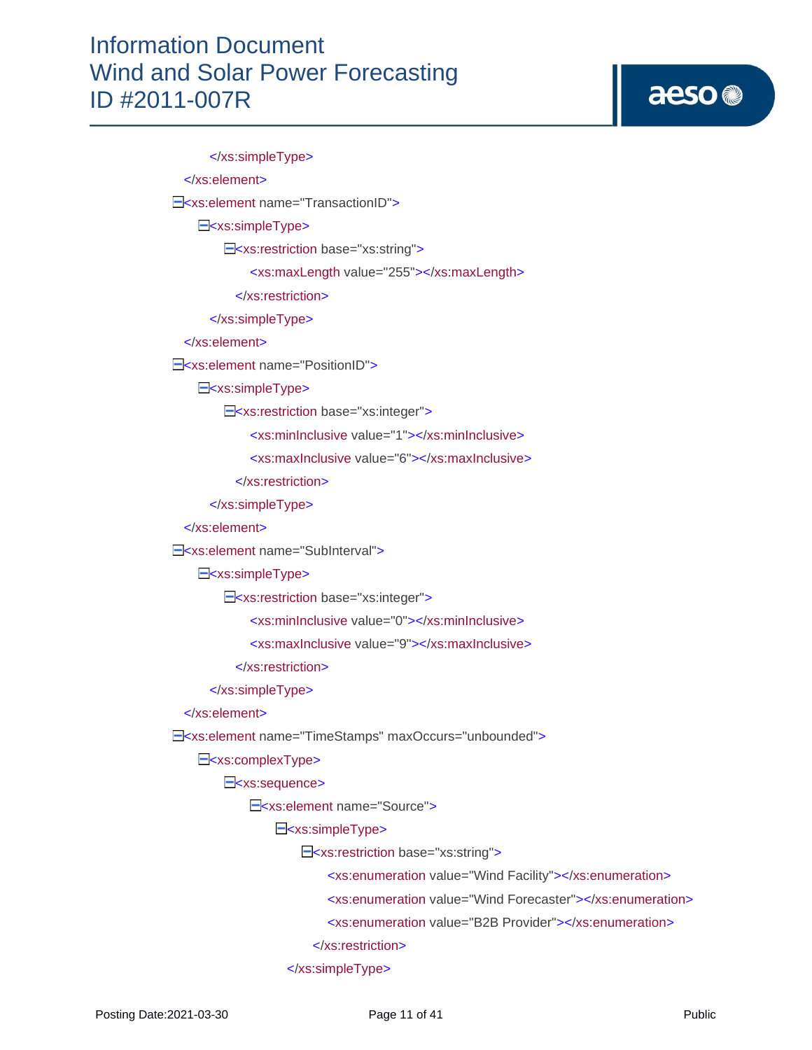# aeso<sup>®</sup>

 </xs:simpleType> </xs:element> E<xs:element name="TransactionID"> E<xs:simpleType> <xs:restriction base="xs:string"> <xs:maxLength value="255"></xs:maxLength> </xs:restriction> </xs:simpleType> </xs:element> E<xs:element name="PositionID"> E<xs:simpleType> E<xs:restriction base="xs:integer"> <xs:minInclusive value="1"></xs:minInclusive> <xs:maxInclusive value="6"></xs:maxInclusive> </xs:restriction> </xs:simpleType> </xs:element> E<xs:element name="SubInterval"> E<xs:simpleType> E<xs:restriction base="xs:integer"> <xs:minInclusive value="0"></xs:minInclusive> <xs:maxInclusive value="9"></xs:maxInclusive> </xs:restriction> </xs:simpleType> </xs:element> <xs:element name="TimeStamps" maxOccurs="unbounded"> E<xs:complexType> E<xs:sequence> <xs:element name="Source"> E<xs:simpleType> <xs:restriction base="xs:string"> <xs:enumeration value="Wind Facility"></xs:enumeration> <xs:enumeration value="Wind Forecaster"></xs:enumeration> <xs:enumeration value="B2B Provider"></xs:enumeration> </xs:restriction> </xs:simpleType>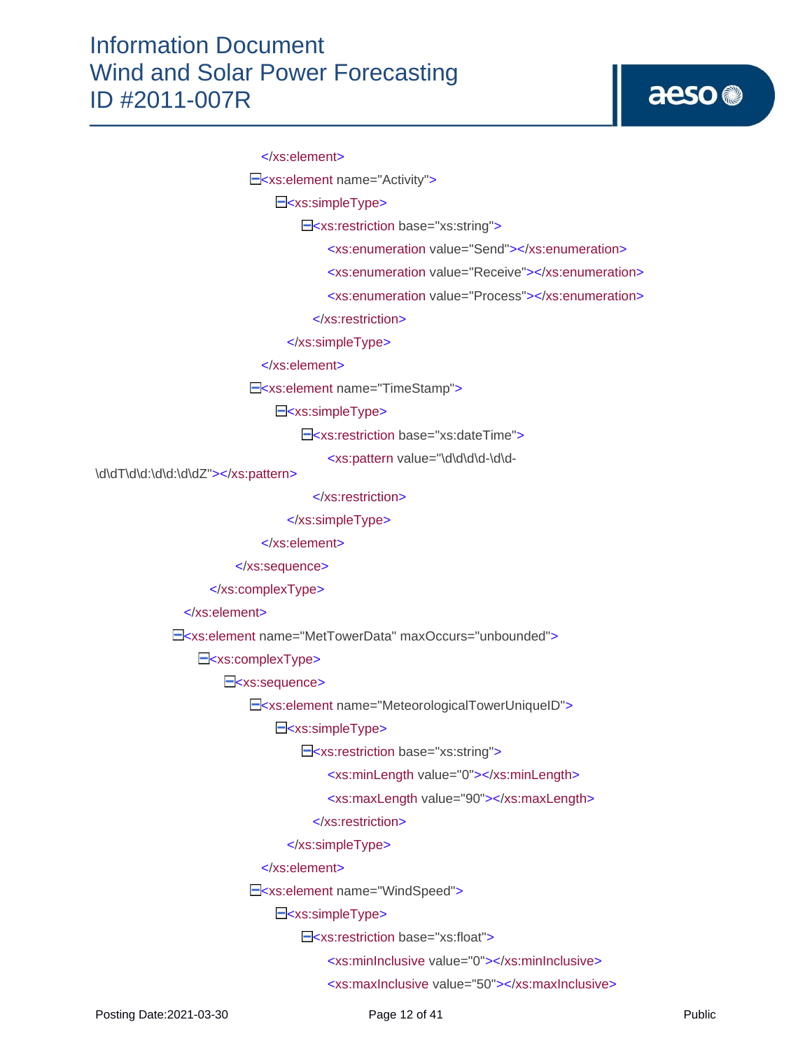# aeso<sup>®</sup>

#### </xs:element>

E<xs:element name="Activity">

E<xs:simpleType>

<xs:restriction base="xs:string">

<xs:enumeration value="Send"></xs:enumeration>

<xs:enumeration value="Receive"></xs:enumeration>

<xs:enumeration value="Process"></xs:enumeration>

</xs:restriction>

</xs:simpleType>

</xs:element>

E<xs:element name="TimeStamp">

E<xs:simpleType>

<xs:restriction base="xs:dateTime">

<xs:pattern value="\d\d\d\d-\d\d-

\d\dT\d\d:\d\d:\d\dZ"></xs:pattern>

</xs:restriction>

</xs:simpleType>

</xs:element>

</xs:sequence>

</xs:complexType>

</xs:element>

<xs:element name="MetTowerData" maxOccurs="unbounded">

E<xs:complexType>

E<xs:sequence>

E<xs:element name="MeteorologicalTowerUniqueID">

E<xs:simpleType>

E<xs:restriction base="xs:string">

<xs:minLength value="0"></xs:minLength>

<xs:maxLength value="90"></xs:maxLength>

</xs:restriction>

</xs:simpleType>

</xs:element>

E<xs:element name="WindSpeed">

E<xs:simpleType>

E<xs:restriction base="xs:float">

<xs:minInclusive value="0"></xs:minInclusive>

<xs:maxInclusive value="50"></xs:maxInclusive>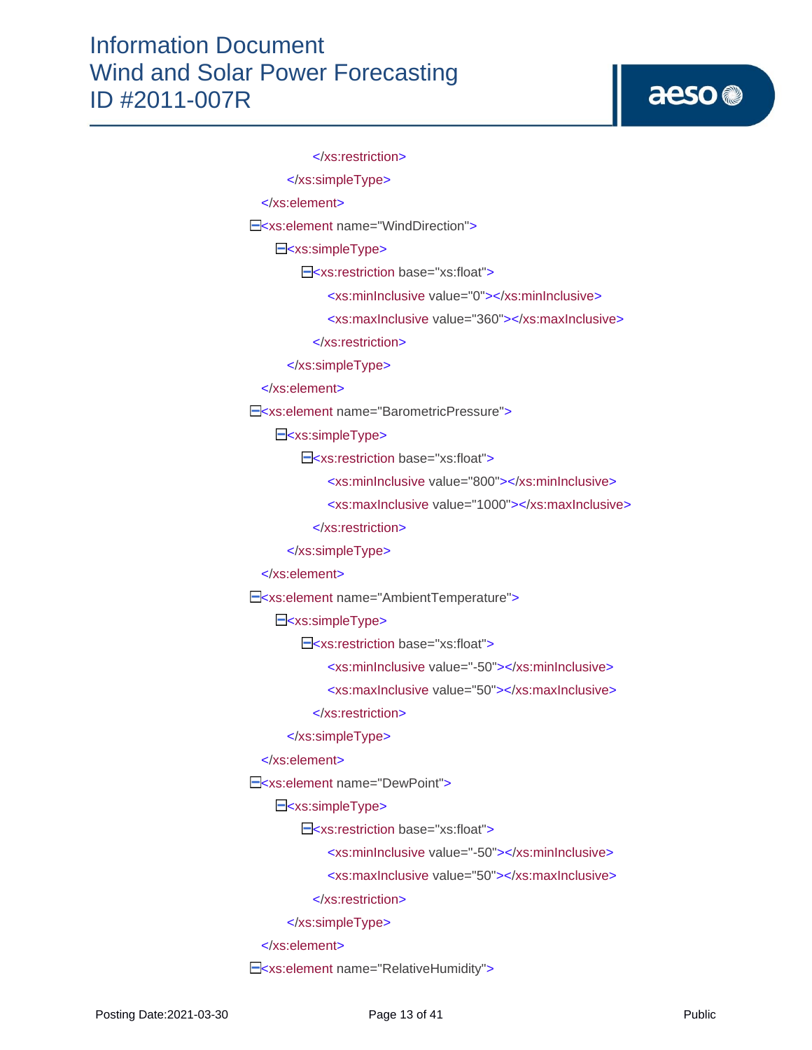```
 </xs:restriction>
       </xs:simpleType>
  </xs:element>
E<xs:element name="WindDirection">
    E<xs:simpleType>
        E<xs:restriction base="xs:float">
              <xs:minInclusive value="0"></xs:minInclusive>
              <xs:maxInclusive value="360"></xs:maxInclusive>
           </xs:restriction>
       </xs:simpleType>
   </xs:element>
E<xs:element name="BarometricPressure">
    E<xs:simpleType>
        E<xs:restriction base="xs:float">
              <xs:minInclusive value="800"></xs:minInclusive>
              <xs:maxInclusive value="1000"></xs:maxInclusive>
           </xs:restriction>
       </xs:simpleType>
  </xs:element>
E<xs:element name="AmbientTemperature">
    E<xs:simpleType>
        E<xs:restriction base="xs:float">
              <xs:minInclusive value="-50"></xs:minInclusive>
              <xs:maxInclusive value="50"></xs:maxInclusive>
           </xs:restriction>
       </xs:simpleType>
  </xs:element>
E<xs:element name="DewPoint">
    E<xs:simpleType>
        E<xs:restriction base="xs:float">
              <xs:minInclusive value="-50"></xs:minInclusive>
              <xs:maxInclusive value="50"></xs:maxInclusive>
           </xs:restriction>
       </xs:simpleType>
  </xs:element>
E<xs:element name="RelativeHumidity">
```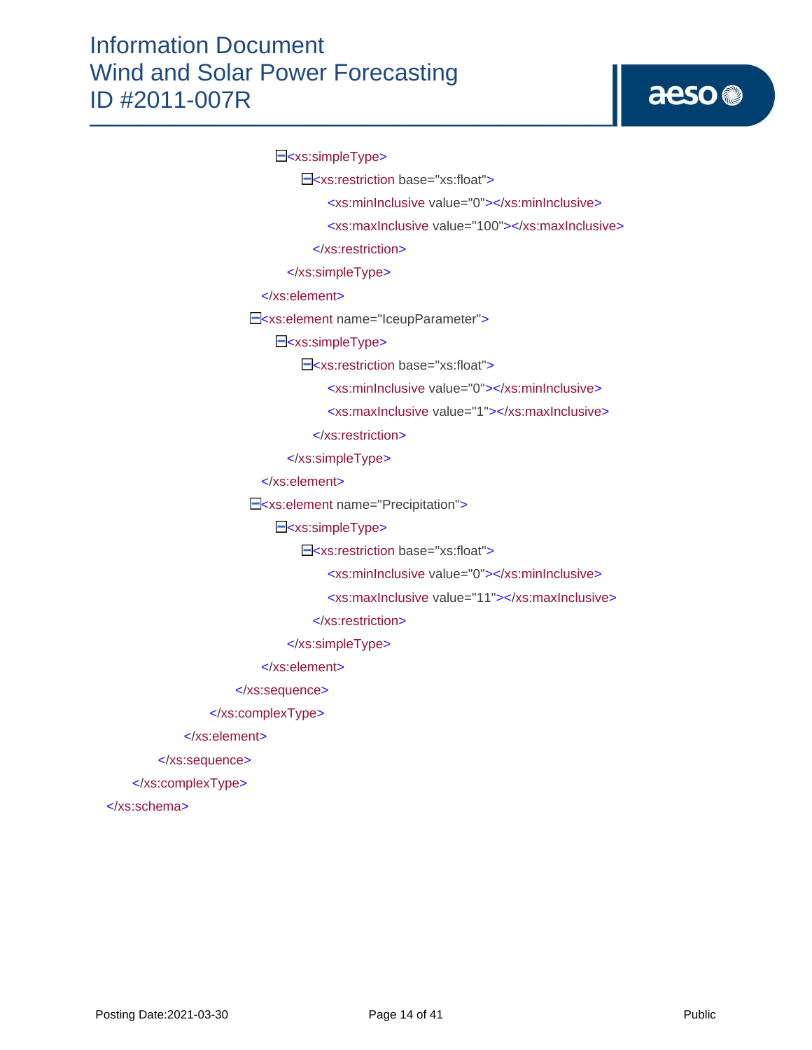E<xs:simpleType>

<xs:restriction base="xs:float">

<xs:minInclusive value="0"></xs:minInclusive>

<xs:maxInclusive value="100"></xs:maxInclusive>

</xs:restriction>

</xs:simpleType>

</xs:element>

E<xs:element name="IceupParameter">

E<xs:simpleType>

E<xs:restriction base="xs:float">

<xs:minInclusive value="0"></xs:minInclusive>

<xs:maxInclusive value="1"></xs:maxInclusive>

</xs:restriction>

</xs:simpleType>

</xs:element>

<xs:element name="Precipitation">

E<xs:simpleType>

E<xs:restriction base="xs:float">

<xs:minInclusive value="0"></xs:minInclusive>

<xs:maxInclusive value="11"></xs:maxInclusive>

</xs:restriction>

</xs:simpleType>

</xs:element>

</xs:sequence>

</xs:complexType>

</xs:element>

</xs:sequence>

</xs:complexType>

</xs:schema>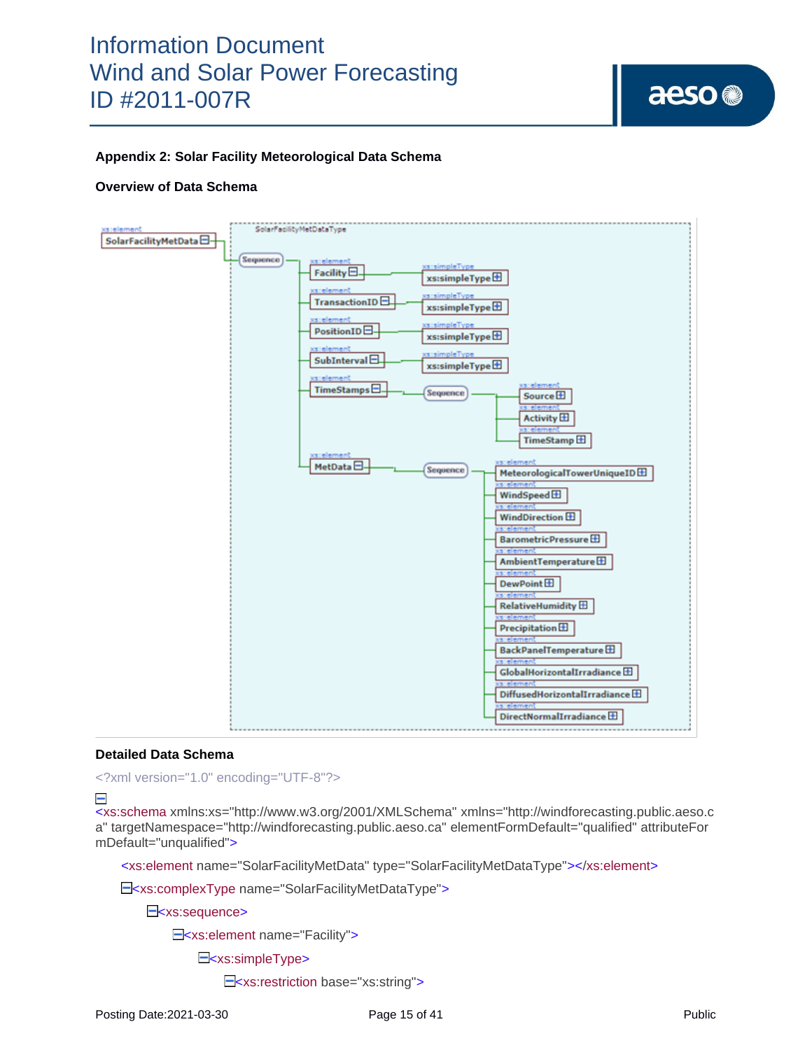aeso<sup>®</sup>

### **Appendix 2: Solar Facility Meteorological Data Schema**

#### **Overview of Data Schema**



#### **Detailed Data Schema**

<?xml version="1.0" encoding="UTF-8"?>

 $\overline{\phantom{0}}$ 

<xs:schema xmlns:xs="http://www.w3.org/2001/XMLSchema" xmlns="http://windforecasting.public.aeso.c a" targetNamespace="http://windforecasting.public.aeso.ca" elementFormDefault="qualified" attributeFor mDefault="unqualified">

<xs:element name="SolarFacilityMetData" type="SolarFacilityMetDataType"></xs:element>

E<xs:complexType name="SolarFacilityMetDataType">

E<xs:sequence>

E<xs:element name="Facility">

E<xs:simpleType>

E<xs:restriction base="xs:string">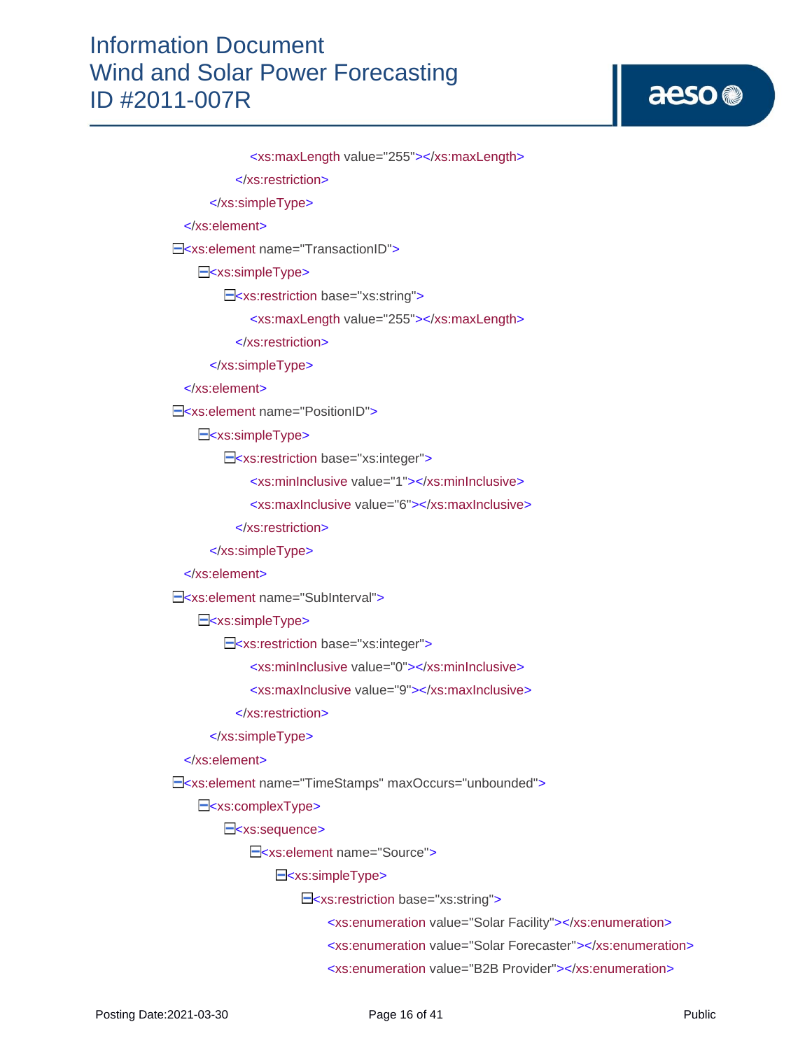# aeso<sup>®</sup>

 <xs:maxLength value="255"></xs:maxLength> </xs:restriction> </xs:simpleType> </xs:element> E<xs:element name="TransactionID"> E<xs:simpleType> <xs:restriction base="xs:string"> <xs:maxLength value="255"></xs:maxLength> </xs:restriction> </xs:simpleType> </xs:element> E<xs:element name="PositionID"> E<xs:simpleType> E<xs:restriction base="xs:integer"> <xs:minInclusive value="1"></xs:minInclusive> <xs:maxInclusive value="6"></xs:maxInclusive> </xs:restriction> </xs:simpleType> </xs:element> E<xs:element name="SubInterval"> E<xs:simpleType> E<xs:restriction base="xs:integer"> <xs:minInclusive value="0"></xs:minInclusive> <xs:maxInclusive value="9"></xs:maxInclusive> </xs:restriction> </xs:simpleType> </xs:element> <xs:element name="TimeStamps" maxOccurs="unbounded"> E<xs:complexType> E<xs:sequence> <xs:element name="Source"> E<xs:simpleType> <xs:restriction base="xs:string"> <xs:enumeration value="Solar Facility"></xs:enumeration> <xs:enumeration value="Solar Forecaster"></xs:enumeration> <xs:enumeration value="B2B Provider"></xs:enumeration>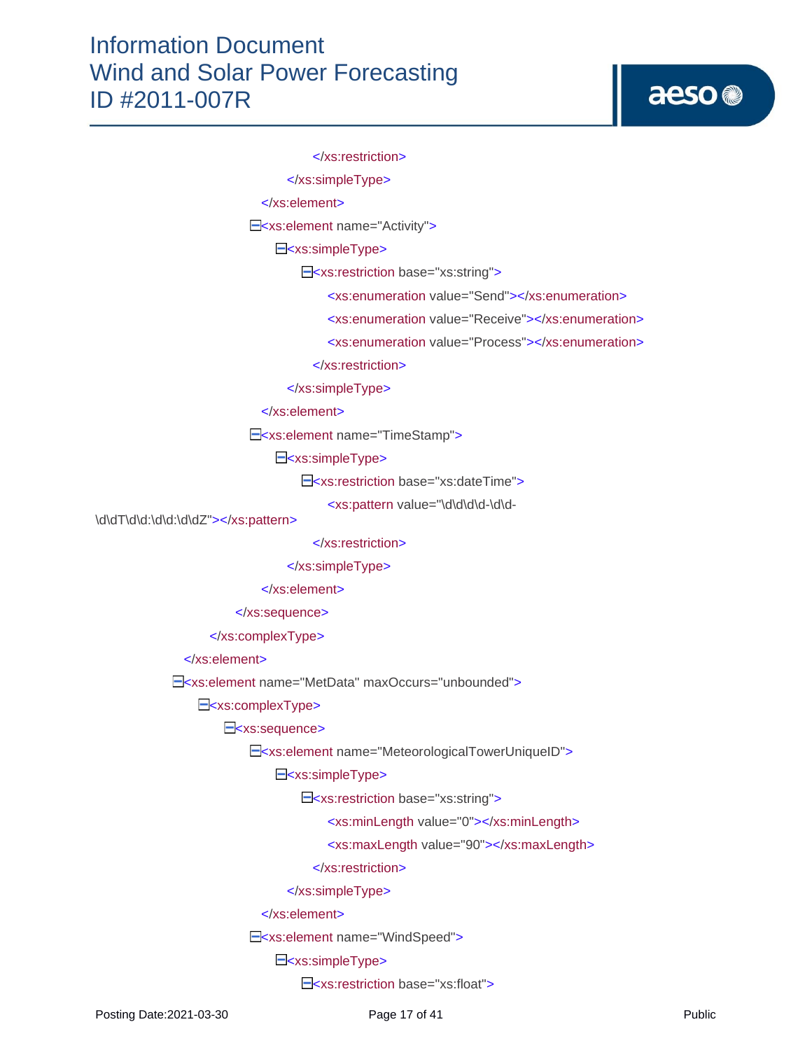</xs:restriction>

</xs:simpleType>

</xs:element>

<xs:element name="Activity">

E<xs:simpleType>

<xs:restriction base="xs:string">

<xs:enumeration value="Send"></xs:enumeration>

<xs:enumeration value="Receive"></xs:enumeration>

<xs:enumeration value="Process"></xs:enumeration>

</xs:restriction>

</xs:simpleType>

</xs:element>

<xs:element name="TimeStamp">

E<xs:simpleType>

E<xs:restriction base="xs:dateTime">

<xs:pattern value="\d\d\d\d-\d\d-

\d\dT\d\d:\d\d:\d\dZ"></xs:pattern>

</xs:restriction>

</xs:simpleType>

</xs:element>

</xs:sequence>

</xs:complexType>

</xs:element>

E<xs:element name="MetData" maxOccurs="unbounded">

E<xs:complexType>

E<xs:sequence>

E<xs:element name="MeteorologicalTowerUniqueID">

E<xs:simpleType>

<xs:restriction base="xs:string">

<xs:minLength value="0"></xs:minLength>

<xs:maxLength value="90"></xs:maxLength>

</xs:restriction>

</xs:simpleType>

</xs:element>

E<xs:element name="WindSpeed">

E<xs:simpleType>

E<xs:restriction base="xs:float">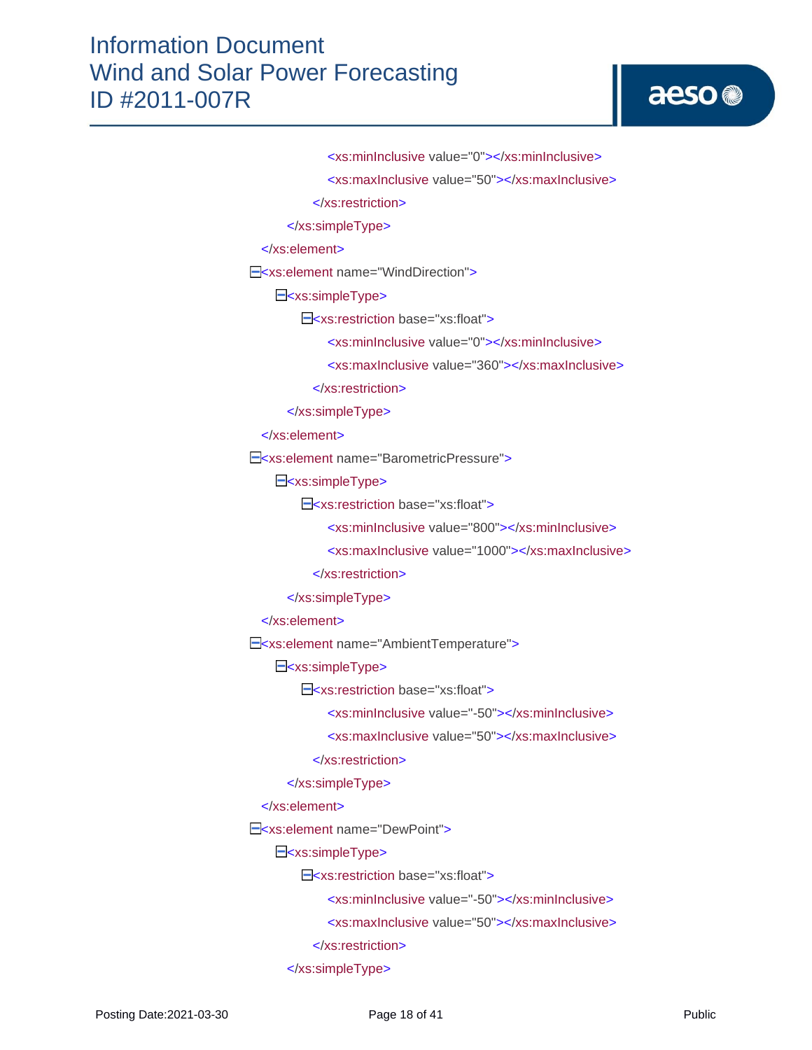# aeso<sup>®</sup>

 <xs:minInclusive value="0"></xs:minInclusive> <xs:maxInclusive value="50"></xs:maxInclusive>

</xs:restriction>

</xs:simpleType>

</xs:element>

E<xs:element name="WindDirection">

E<xs:simpleType>

E<xs:restriction base="xs:float">

<xs:minInclusive value="0"></xs:minInclusive>

<xs:maxInclusive value="360"></xs:maxInclusive>

</xs:restriction>

</xs:simpleType>

</xs:element>

E<xs:element name="BarometricPressure">

E<xs:simpleType>

E<xs:restriction base="xs:float">

<xs:minInclusive value="800"></xs:minInclusive>

<xs:maxInclusive value="1000"></xs:maxInclusive>

</xs:restriction>

</xs:simpleType>

</xs:element>

E<xs:element name="AmbientTemperature">

E<xs:simpleType>

E<xs:restriction base="xs:float">

<xs:minInclusive value="-50"></xs:minInclusive>

<xs:maxInclusive value="50"></xs:maxInclusive>

</xs:restriction>

</xs:simpleType>

</xs:element>

E<xs:element name="DewPoint">

E<xs:simpleType>

E<xs:restriction base="xs:float">

<xs:minInclusive value="-50"></xs:minInclusive>

<xs:maxInclusive value="50"></xs:maxInclusive>

</xs:restriction>

</xs:simpleType>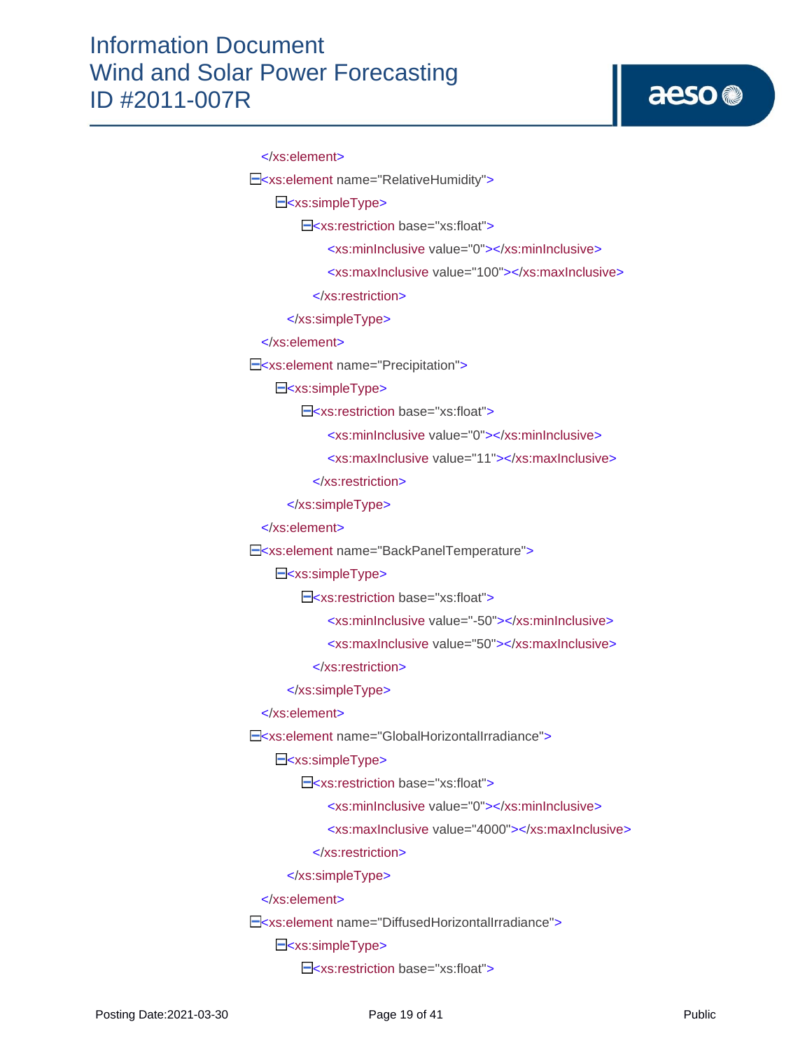# aeso<sup>®</sup>

```
 </xs:element>
E<xs:element name="RelativeHumidity">
    E<xs:simpleType>
        E<xs:restriction base="xs:float">
              <xs:minInclusive value="0"></xs:minInclusive>
              <xs:maxInclusive value="100"></xs:maxInclusive>
           </xs:restriction>
       </xs:simpleType>
  </xs:element>
E<xs:element name="Precipitation">
    E<xs:simpleType>
        E<xs:restriction base="xs:float">
              <xs:minInclusive value="0"></xs:minInclusive>
              <xs:maxInclusive value="11"></xs:maxInclusive>
           </xs:restriction>
       </xs:simpleType>
  </xs:element>
E<xs:element name="BackPanelTemperature">
    E<xs:simpleType>
        E<xs:restriction base="xs:float">
              <xs:minInclusive value="-50"></xs:minInclusive>
              <xs:maxInclusive value="50"></xs:maxInclusive>
           </xs:restriction>
       </xs:simpleType>
  </xs:element>
E<xs:element name="GlobalHorizontalIrradiance">
    E<xs:simpleType>
        E<xs:restriction base="xs:float">
              <xs:minInclusive value="0"></xs:minInclusive>
              <xs:maxInclusive value="4000"></xs:maxInclusive>
           </xs:restriction>
       </xs:simpleType>
  </xs:element>
 <xs:element name="DiffusedHorizontalIrradiance">
    E<xs:simpleType>
        E<xs:restriction base="xs:float">
```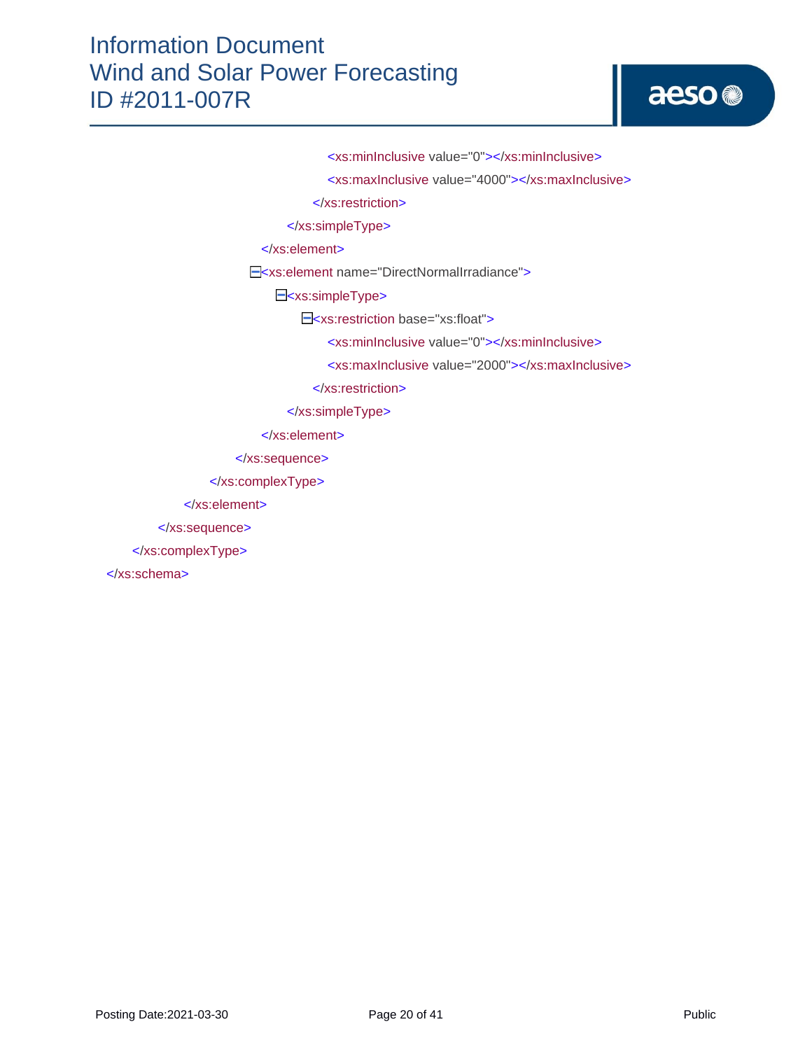# aeso<sup>®</sup>

<xs:minInclusive value="0"></xs:minInclusive>

<xs:maxInclusive value="4000"></xs:maxInclusive>

</xs:restriction>

</xs:simpleType>

</xs:element>

E<xs:element name="DirectNormalIrradiance">

E<xs:simpleType>

E<xs:restriction base="xs:float">

<xs:minInclusive value="0"></xs:minInclusive>

<xs:maxInclusive value="2000"></xs:maxInclusive>

</xs:restriction>

</xs:simpleType>

</xs:element>

</xs:sequence>

</xs:complexType>

</xs:element>

</xs:sequence>

</xs:complexType>

</xs:schema>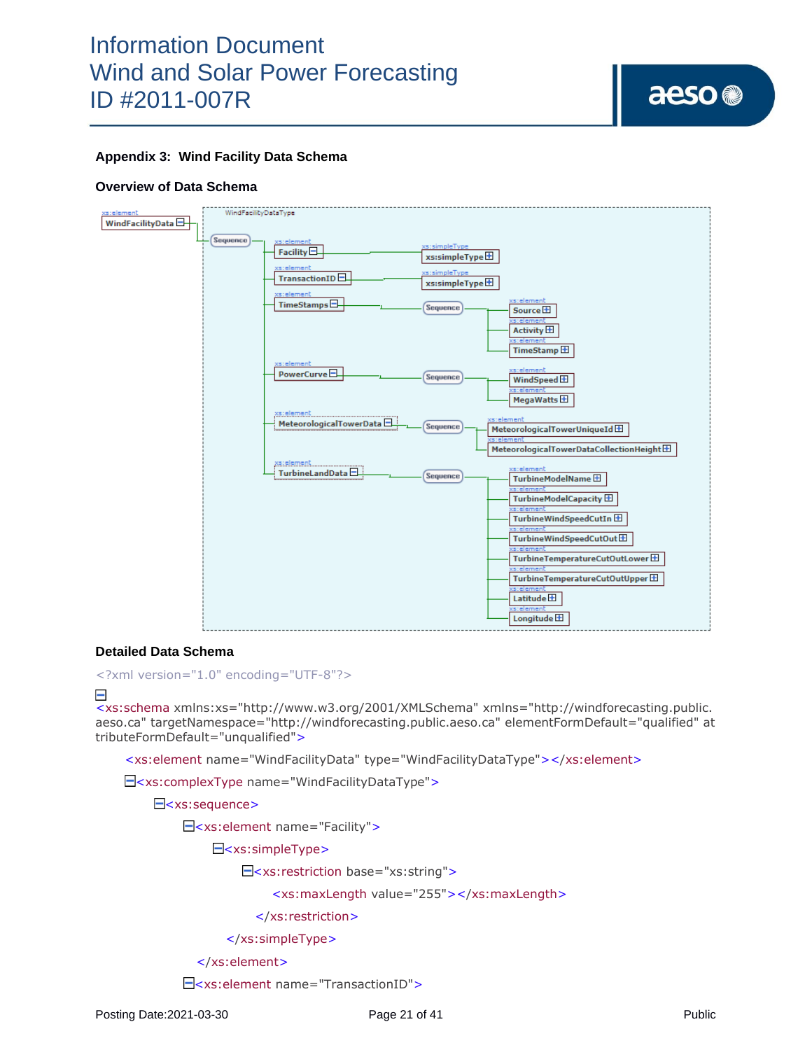

### **Appendix 3: Wind Facility Data Schema**

#### **Overview of Data Schema**



#### **Detailed Data Schema**

<?xml version="1.0" encoding="UTF-8"?>

#### $\overline{\phantom{0}}$

<xs:schema xmlns:xs="http://www.w3.org/2001/XMLSchema" xmlns="http://windforecasting.public. aeso.ca" targetNamespace="http://windforecasting.public.aeso.ca" elementFormDefault="qualified" at tributeFormDefault="unqualified">

<xs:element name="WindFacilityData" type="WindFacilityDataType"></xs:element>

<xs:complexType name="WindFacilityDataType">

E<xs:sequence>

<xs:element name="Facility">

E<xs:simpleType>

 $\Xi$ <xs:restriction base="xs:string">

<xs:maxLength value="255"></xs:maxLength>

</xs:restriction>

</xs:simpleType>

</xs:element>

<xs:element name="TransactionID">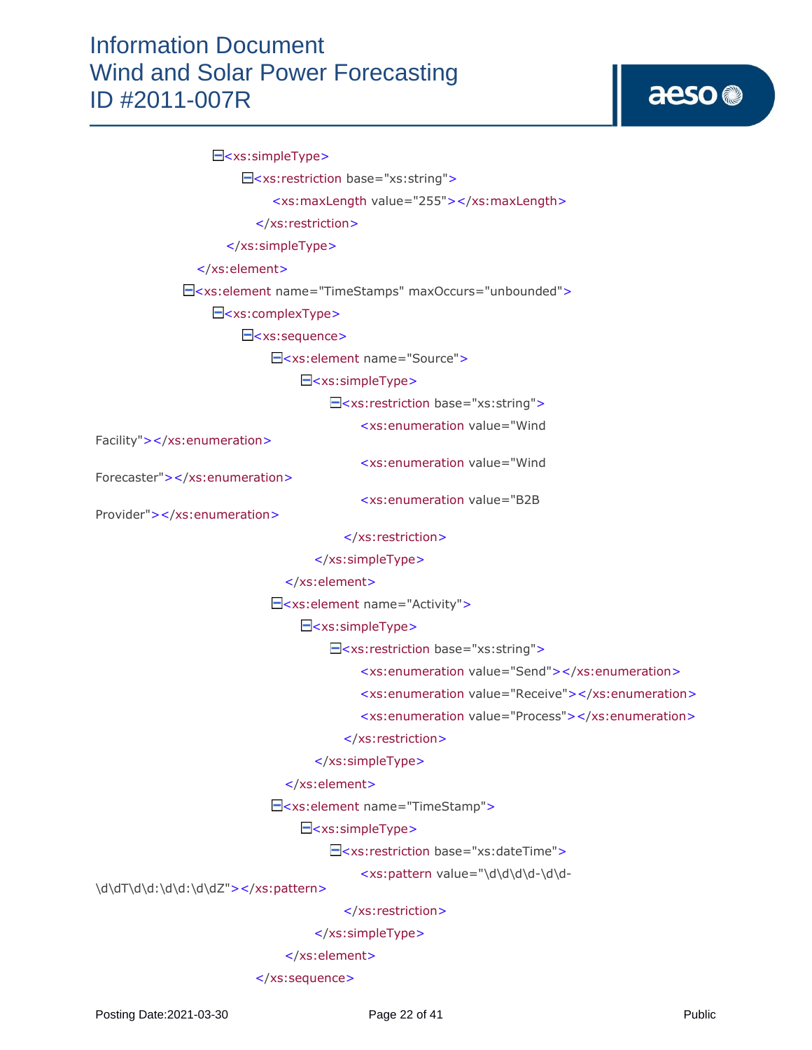# aeso<sup>®</sup>

#### E<xs:simpleType>

<xs:restriction base="xs:string">

<xs:maxLength value="255"></xs:maxLength>

</xs:restriction>

</xs:simpleType>

</xs:element>

<xs:element name="TimeStamps" maxOccurs="unbounded">

<xs:complexType>

E<xs:sequence>

<xs:element name="Source">

<xs:simpleType>

<xs:restriction base="xs:string">

<xs:enumeration value="Wind

Facility"></xs:enumeration>

<xs:enumeration value="Wind

<xs:enumeration value="B2B

Forecaster"></xs:enumeration>

Provider"></xs:enumeration>

</xs:restriction>

</xs:simpleType>

</xs:element>

E<xs: element name="Activity">

E<xs:simpleType>

<xs:restriction base="xs:string">

<xs:enumeration value="Send"></xs:enumeration>

<xs:enumeration value="Receive"></xs:enumeration>

<xs:enumeration value="Process"></xs:enumeration>

</xs:restriction>

</xs:simpleType>

#### </xs:element>

<xs:element name="TimeStamp">

E<xs:simpleType>

<xs:restriction base="xs:dateTime">

<xs:pattern value="\d\d\d\d-\d\d-

\d\dT\d\d:\d\d:\d\dZ"></xs:pattern>

</xs:restriction>

</xs:simpleType>

</xs:element>

</xs:sequence>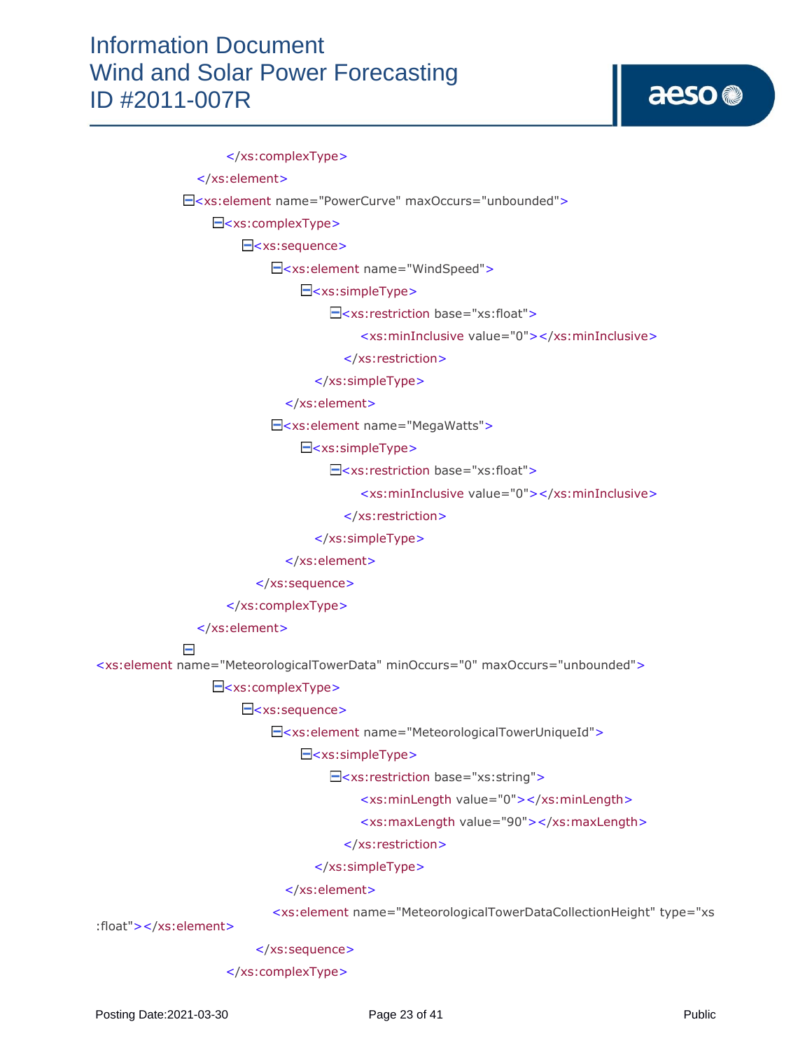# aeso<sup>®</sup>

 </xs:complexType> </xs:element> <xs:element name="PowerCurve" maxOccurs="unbounded"> <xs:complexType> E<xs:sequence> <xs:element name="WindSpeed"> <xs:simpleType> <xs:restriction base="xs:float"> <xs:minInclusive value="0"></xs:minInclusive> </xs:restriction> </xs:simpleType> </xs:element> <xs:element name="MegaWatts"> E<xs:simpleType> <xs:restriction base="xs:float"> <xs:minInclusive value="0"></xs:minInclusive> </xs:restriction> </xs:simpleType> </xs:element> </xs:sequence> </xs:complexType> </xs:element> <xs:element name="MeteorologicalTowerData" minOccurs="0" maxOccurs="unbounded"> E<xs:complexType>

## E<xs:sequence>

<xs:element name="MeteorologicalTowerUniqueId">

## <xs:simpleType>

<xs:restriction base="xs:string">

<xs:minLength value="0"></xs:minLength>

<xs:maxLength value="90"></xs:maxLength>

## </xs:restriction>

</xs:simpleType>

### </xs:element>

<xs:element name="MeteorologicalTowerDataCollectionHeight" type="xs

:float"></xs:element>

 $\blacksquare$ 

</xs:sequence>

## </xs:complexType>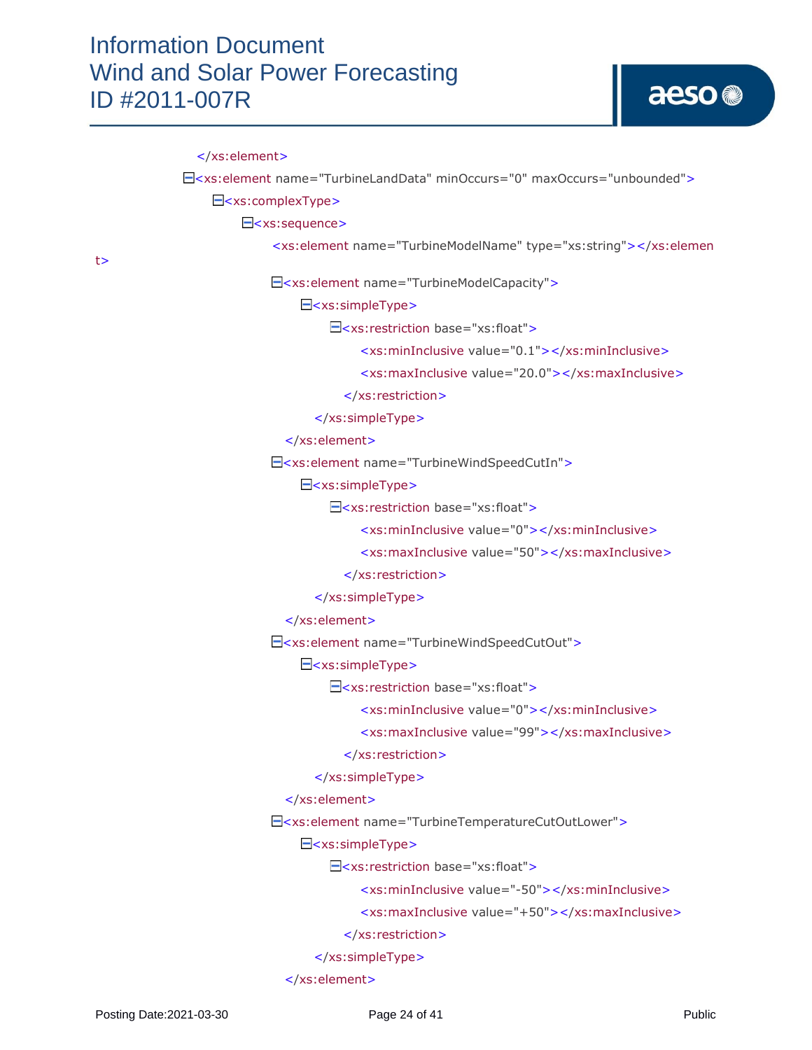t>

 </xs:element> <xs:element name="TurbineLandData" minOccurs="0" maxOccurs="unbounded"> <xs:complexType> E<xs:sequence> <xs:element name="TurbineModelName" type="xs:string"></xs:elemen <xs:element name="TurbineModelCapacity"> <xs:simpleType> <xs:restriction base="xs:float"> <xs:minInclusive value="0.1"></xs:minInclusive> <xs:maxInclusive value="20.0"></xs:maxInclusive> </xs:restriction> </xs:simpleType> </xs:element> <xs:element name="TurbineWindSpeedCutIn"> E<xs:simpleType> <xs:restriction base="xs:float"> <xs:minInclusive value="0"></xs:minInclusive> <xs:maxInclusive value="50"></xs:maxInclusive> </xs:restriction> </xs:simpleType> </xs:element> <xs:element name="TurbineWindSpeedCutOut"> E<xs:simpleType>  $\Xi$ <xs:restriction base="xs:float"> <xs:minInclusive value="0"></xs:minInclusive> <xs:maxInclusive value="99"></xs:maxInclusive> </xs:restriction> </xs:simpleType> </xs:element> <xs:element name="TurbineTemperatureCutOutLower"> E<xs:simpleType> <xs:restriction base="xs:float"> <xs:minInclusive value="-50"></xs:minInclusive> <xs:maxInclusive value="+50"></xs:maxInclusive> </xs:restriction> </xs:simpleType> </xs:element>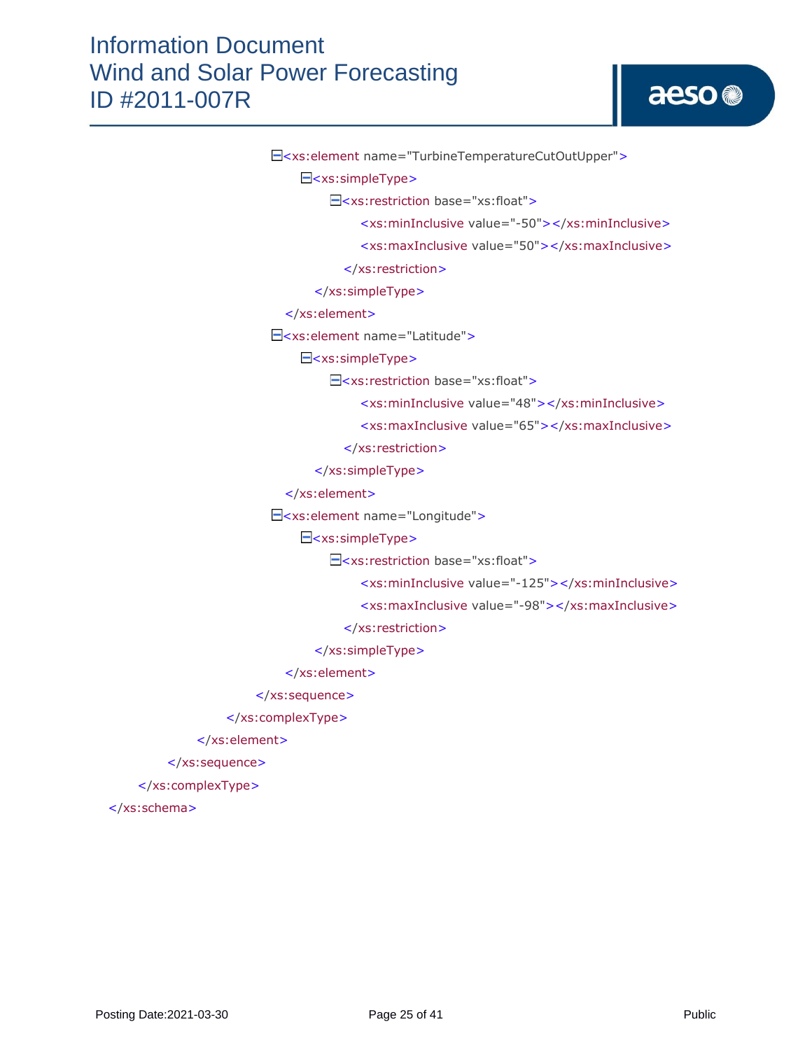|  | E <xs:element name="TurbineTemperatureCutOutUpper"></xs:element> |
|--|------------------------------------------------------------------|
|  | $\Xi$ <xs:simpletype></xs:simpletype>                            |
|  | E <xs:restriction base="xs:float"></xs:restriction>              |
|  | <xs:mininclusive value="-50"></xs:mininclusive>                  |
|  | <xs:maxinclusive value="50"></xs:maxinclusive>                   |
|  |                                                                  |
|  |                                                                  |
|  |                                                                  |
|  | E <xs:element name="Latitude"></xs:element>                      |
|  | $\Xi$ <xs:simpletype></xs:simpletype>                            |
|  | $\exists$ <xs:restriction base="xs:float"></xs:restriction>      |
|  | <xs:mininclusive value="48"></xs:mininclusive>                   |
|  | <xs:maxinclusive value="65"></xs:maxinclusive>                   |
|  |                                                                  |
|  |                                                                  |
|  |                                                                  |
|  | - <xs:element name="Longitude"></xs:element>                     |
|  | $\equiv$ <xs:simpletype></xs:simpletype>                         |
|  | $\Xi$ <xs:restriction base="xs:float"></xs:restriction>          |
|  | <xs:mininclusive value="-125"></xs:mininclusive>                 |
|  | <xs:maxinclusive value="-98"></xs:maxinclusive>                  |
|  |                                                                  |
|  |                                                                  |
|  |                                                                  |
|  |                                                                  |
|  |                                                                  |
|  |                                                                  |
|  |                                                                  |
|  |                                                                  |

</xs:schema>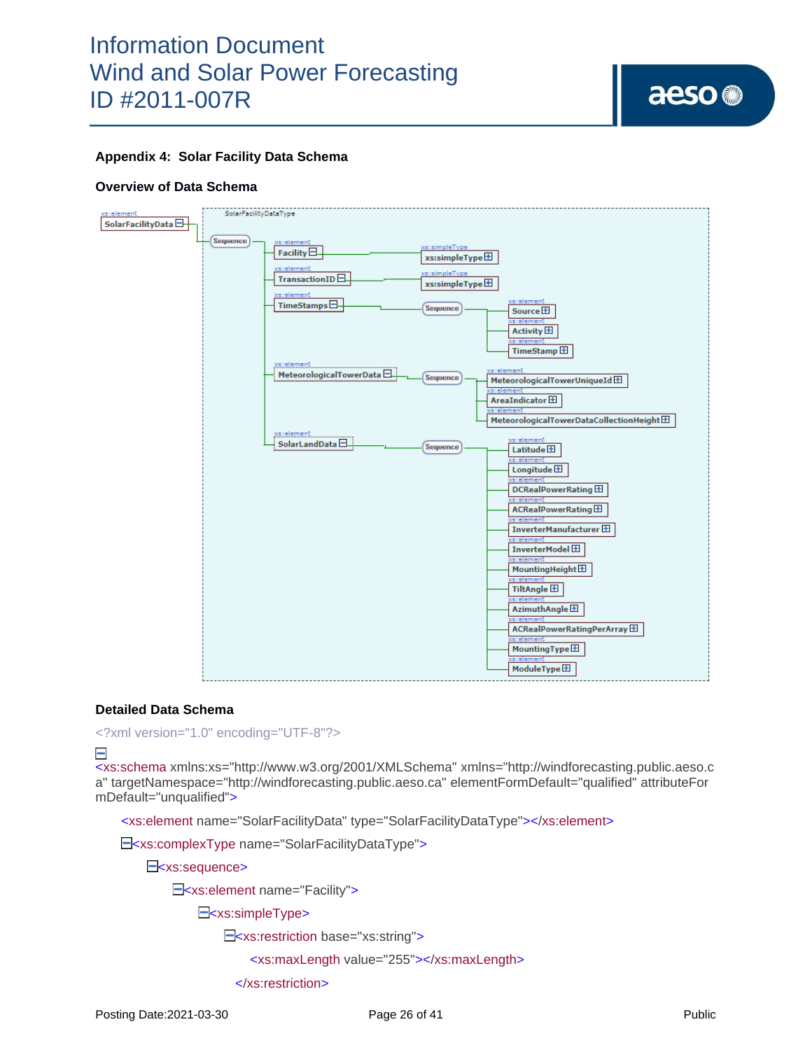

### **Appendix 4: Solar Facility Data Schema**

#### **Overview of Data Schema**



#### **Detailed Data Schema**

<?xml version="1.0" encoding="UTF-8"?>

 $\equiv$ 

<xs:schema xmlns:xs="http://www.w3.org/2001/XMLSchema" xmlns="http://windforecasting.public.aeso.c a" targetNamespace="http://windforecasting.public.aeso.ca" elementFormDefault="qualified" attributeFor mDefault="unqualified">

<xs:element name="SolarFacilityData" type="SolarFacilityDataType"></xs:element>

E<xs:complexType name="SolarFacilityDataType">

E<xs:sequence>

E<xs:element name="Facility">

E<xs:simpleType>

<xs:restriction base="xs:string">

<xs:maxLength value="255"></xs:maxLength>

</xs:restriction>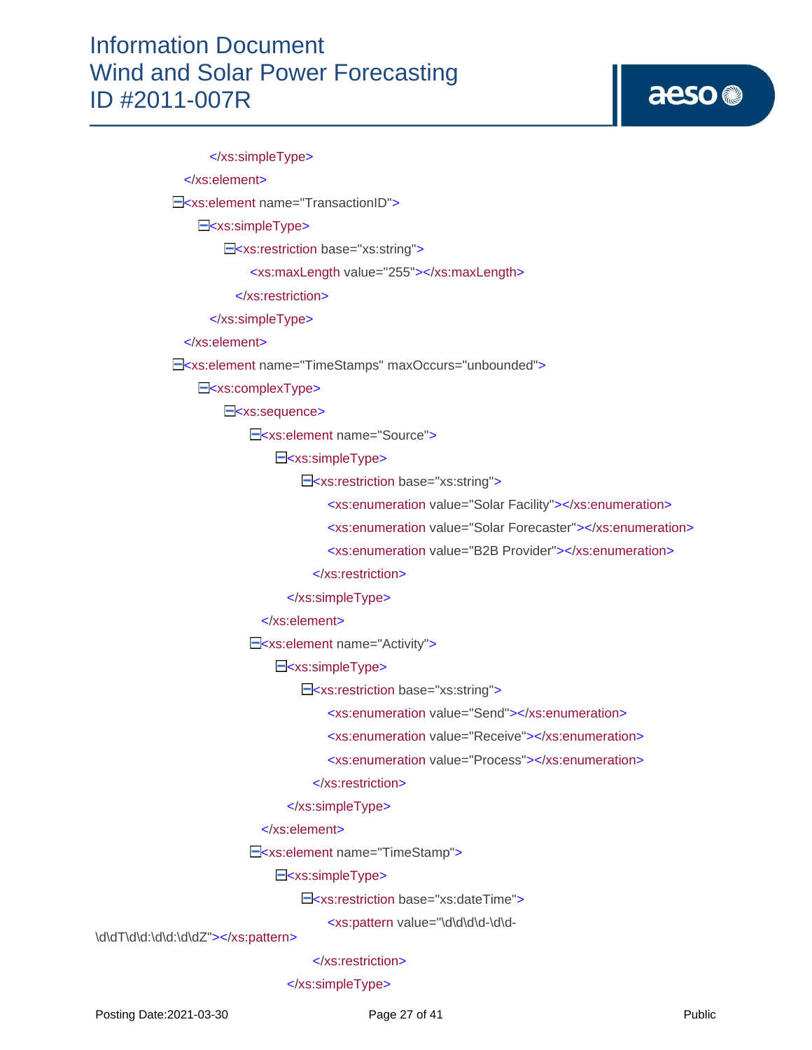# aeso<sup>®</sup>

 </xs:simpleType> </xs:element> E<xs:element name="TransactionID"> E<xs:simpleType> <xs:restriction base="xs:string"> <xs:maxLength value="255"></xs:maxLength> </xs:restriction> </xs:simpleType> </xs:element> <xs:element name="TimeStamps" maxOccurs="unbounded"> E<xs:complexType> E<xs:sequence> E<xs:element name="Source"> E<xs:simpleType> <xs:restriction base="xs:string"> <xs:enumeration value="Solar Facility"></xs:enumeration> <xs:enumeration value="Solar Forecaster"></xs:enumeration> <xs:enumeration value="B2B Provider"></xs:enumeration> </xs:restriction> </xs:simpleType> </xs:element> E<xs:element name="Activity"> E<xs:simpleType> <xs:restriction base="xs:string"> <xs:enumeration value="Send"></xs:enumeration> <xs:enumeration value="Receive"></xs:enumeration> <xs:enumeration value="Process"></xs:enumeration> </xs:restriction> </xs:simpleType> </xs:element> <xs:element name="TimeStamp"> E<xs:simpleType>

E<xs:restriction base="xs:dateTime">

<xs:pattern value="\d\d\d\d-\d\d-

\d\dT\d\d:\d\d:\d\dZ"></xs:pattern>

#### </xs:restriction>

</xs:simpleType>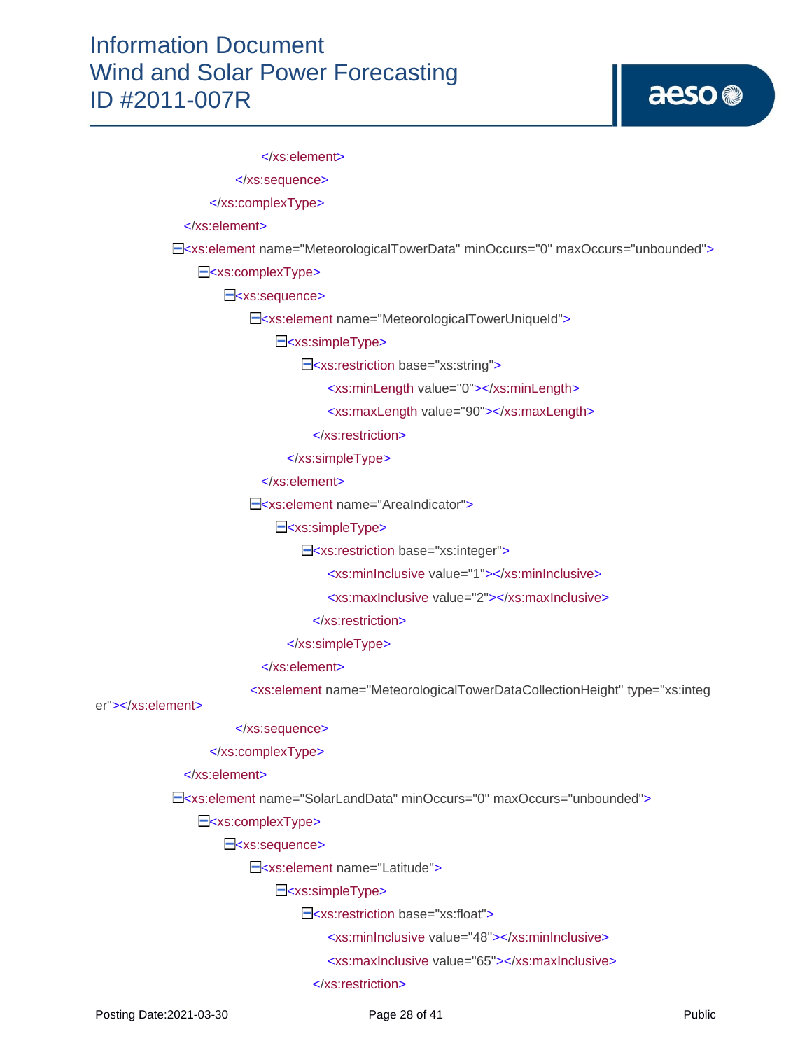# aeso<sup>®</sup>

 </xs:element> </xs:sequence> </xs:complexType> </xs:element> <xs:element name="MeteorologicalTowerData" minOccurs="0" maxOccurs="unbounded"> E<xs:complexType> E<xs:sequence> E<xs:element name="MeteorologicalTowerUniqueId"> E<xs:simpleType> <xs:restriction base="xs:string"> <xs:minLength value="0"></xs:minLength> <xs:maxLength value="90"></xs:maxLength> </xs:restriction> </xs:simpleType> </xs:element> E<xs:element name="AreaIndicator"> E<xs:simpleType> E<xs:restriction base="xs:integer"> <xs:minInclusive value="1"></xs:minInclusive> <xs:maxInclusive value="2"></xs:maxInclusive> </xs:restriction> </xs:simpleType> </xs:element> <xs:element name="MeteorologicalTowerDataCollectionHeight" type="xs:integ er"></xs:element> </xs:sequence> </xs:complexType> </xs:element> <xs:element name="SolarLandData" minOccurs="0" maxOccurs="unbounded"> E<xs:complexType> E<xs:sequence> E<xs:element name="Latitude"> E<xs:simpleType> E<xs:restriction base="xs:float"> <xs:minInclusive value="48"></xs:minInclusive> <xs:maxInclusive value="65"></xs:maxInclusive>

</xs:restriction>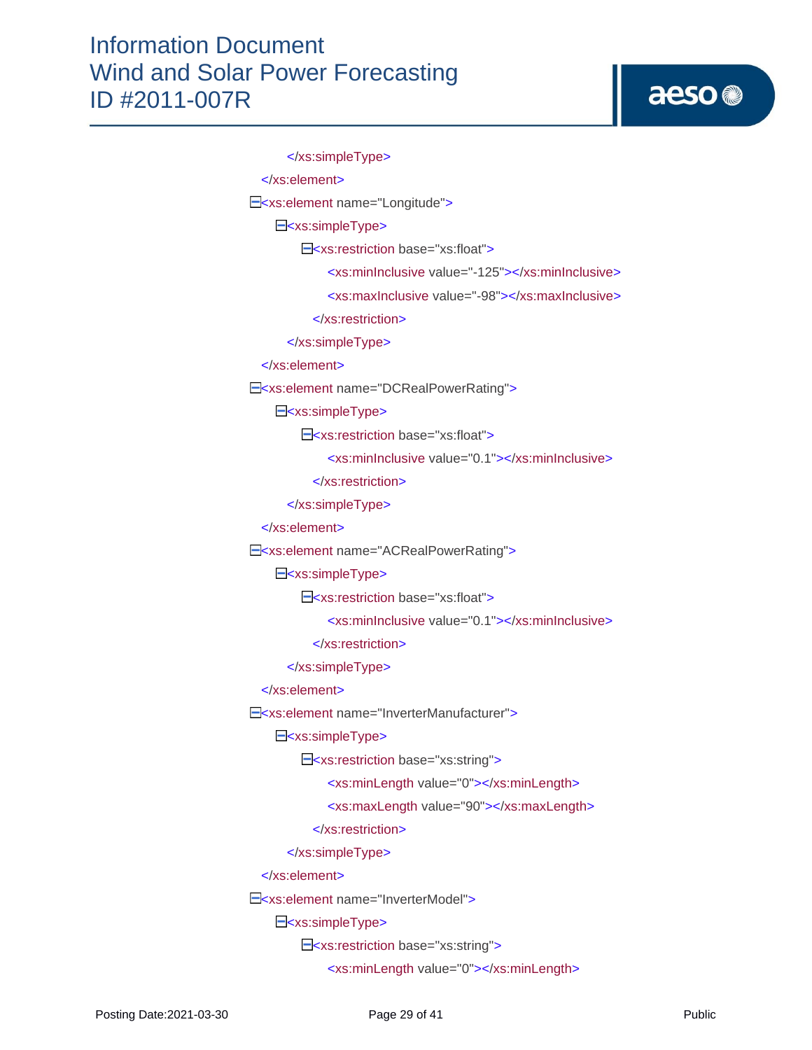```
 </xs:simpleType>
  </xs:element>
E<xs:element name="Longitude">
    E<xs:simpleType>
        E<xs:restriction base="xs:float">
             <xs:minInclusive value="-125"></xs:minInclusive>
             <xs:maxInclusive value="-98"></xs:maxInclusive>
           </xs:restriction>
       </xs:simpleType>
  </xs:element>
E<xs:element name="DCRealPowerRating">
    E<xs:simpleType>
        E<xs:restriction base="xs:float">
              <xs:minInclusive value="0.1"></xs:minInclusive>
           </xs:restriction>
       </xs:simpleType>
  </xs:element>
E<xs:element name="ACRealPowerRating">
    E<xs:simpleType>
        E<xs:restriction base="xs:float">
             <xs:minInclusive value="0.1"></xs:minInclusive>
           </xs:restriction>
       </xs:simpleType>
  </xs:element>
 <xs:element name="InverterManufacturer">
    E<xs:simpleType>
         <xs:restriction base="xs:string">
             <xs:minLength value="0"></xs:minLength>
             <xs:maxLength value="90"></xs:maxLength>
           </xs:restriction>
       </xs:simpleType>
  </xs:element>
E<xs:element name="InverterModel">
    E<xs:simpleType>
         <xs:restriction base="xs:string">
             <xs:minLength value="0"></xs:minLength>
```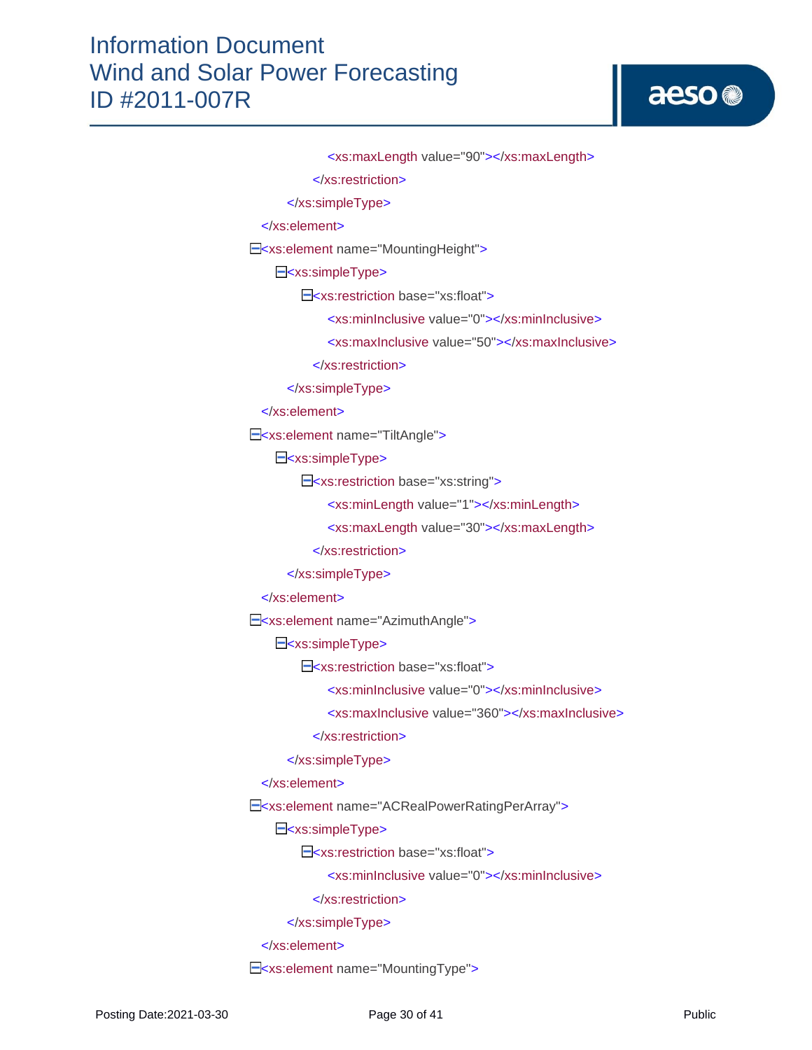# aeso<sup>®</sup>

```
 <xs:maxLength value="90"></xs:maxLength>
           </xs:restriction>
       </xs:simpleType>
  </xs:element>
 <xs:element name="MountingHeight">
    E<xs:simpleType>
        E<xs:restriction base="xs:float">
              <xs:minInclusive value="0"></xs:minInclusive>
             <xs:maxInclusive value="50"></xs:maxInclusive>
           </xs:restriction>
       </xs:simpleType>
  </xs:element>
 <xs:element name="TiltAngle">
    E<xs:simpleType>
         <xs:restriction base="xs:string">
             <xs:minLength value="1"></xs:minLength>
             <xs:maxLength value="30"></xs:maxLength>
           </xs:restriction>
       </xs:simpleType>
  </xs:element>
E<xs:element name="AzimuthAngle">
    E<xs:simpleType>
         <xs:restriction base="xs:float">
             <xs:minInclusive value="0"></xs:minInclusive>
             <xs:maxInclusive value="360"></xs:maxInclusive>
           </xs:restriction>
       </xs:simpleType>
  </xs:element>
E<xs:element name="ACRealPowerRatingPerArray">
    E<xs:simpleType>
         <xs:restriction base="xs:float">
             <xs:minInclusive value="0"></xs:minInclusive>
           </xs:restriction>
       </xs:simpleType>
  </xs:element>
E<xs:element name="MountingType">
```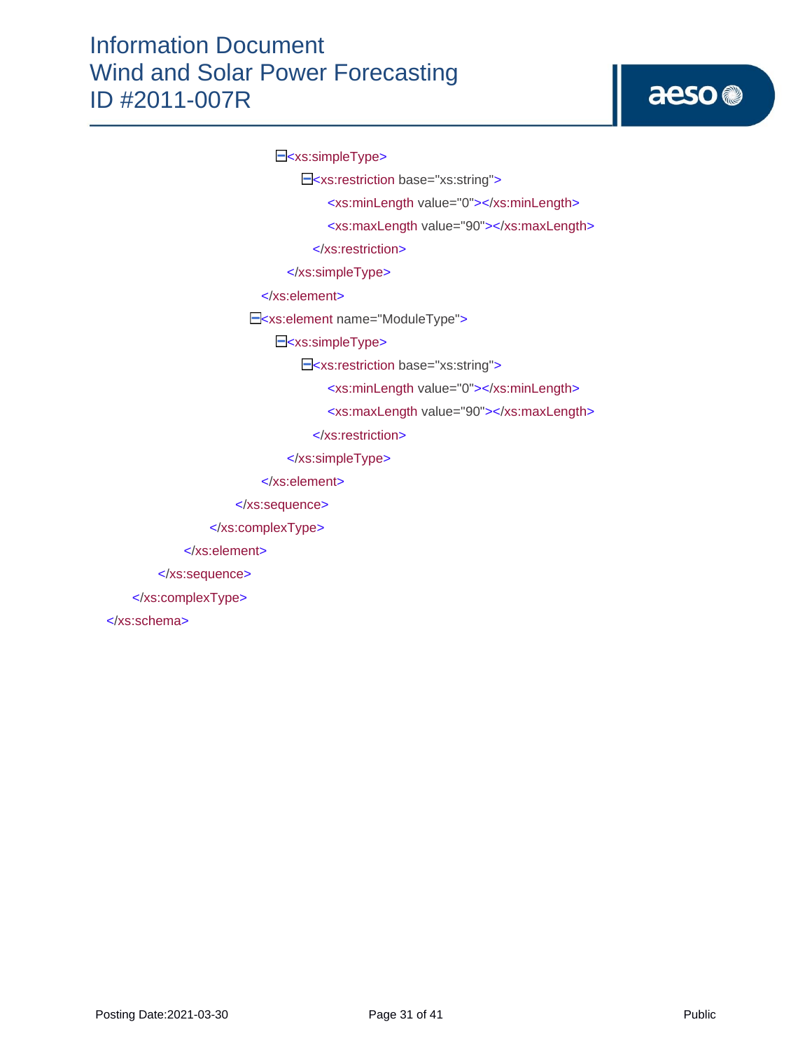# aeso<sup>®</sup>

E<xs:simpleType>

<xs:restriction base="xs:string">

<xs:minLength value="0"></xs:minLength>

<xs:maxLength value="90"></xs:maxLength>

</xs:restriction>

</xs:simpleType>

</xs:element>

E<xs:element name="ModuleType">

E<xs:simpleType>

<xs:restriction base="xs:string">

<xs:minLength value="0"></xs:minLength>

<xs:maxLength value="90"></xs:maxLength>

</xs:restriction>

</xs:simpleType>

</xs:element>

</xs:sequence>

</xs:complexType>

</xs:element>

</xs:sequence>

</xs:complexType>

</xs:schema>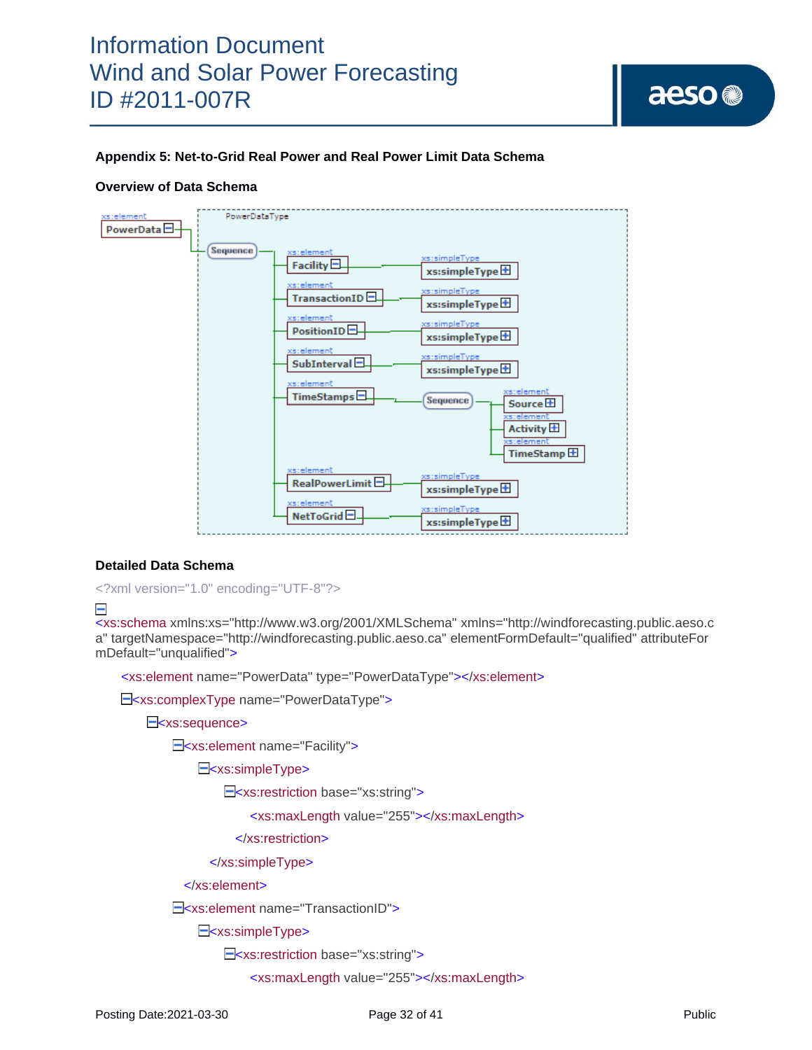

## **Appendix 5: Net-to-Grid Real Power and Real Power Limit Data Schema**

#### **Overview of Data Schema**



#### **Detailed Data Schema**

```
<?xml version="1.0" encoding="UTF-8"?>
```
#### $\equiv$

<xs:schema xmlns:xs="http://www.w3.org/2001/XMLSchema" xmlns="http://windforecasting.public.aeso.c a" targetNamespace="http://windforecasting.public.aeso.ca" elementFormDefault="qualified" attributeFor mDefault="unqualified">

<xs:element name="PowerData" type="PowerDataType"></xs:element>

E<xs:complexType name="PowerDataType">

#### E<xs:sequence>

E<xs:element name="Facility">

E<xs:simpleType>

<xs:restriction base="xs:string">

<xs:maxLength value="255"></xs:maxLength>

</xs:restriction>

#### </xs:simpleType>

</xs:element>

E<xs:element name="TransactionID">

E<xs:simpleType>

E<xs:restriction base="xs:string">

<xs:maxLength value="255"></xs:maxLength>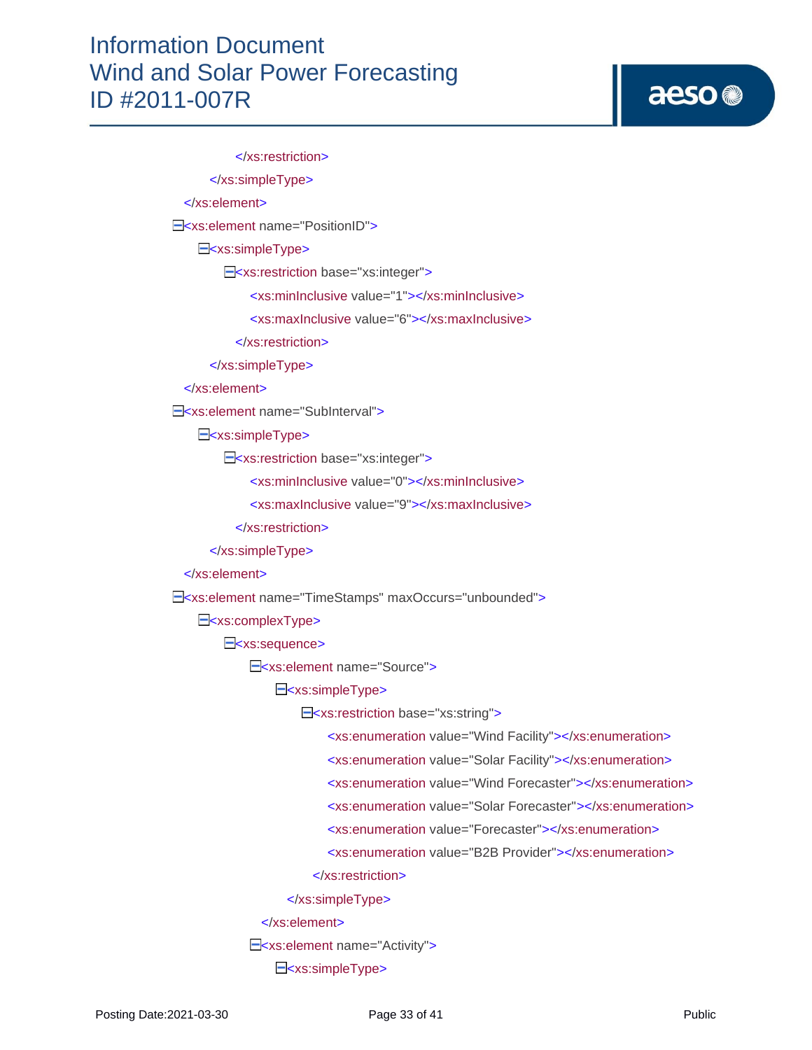# aeso<sup>®</sup>

 </xs:restriction> </xs:simpleType> </xs:element> E<xs:element name="PositionID"> E<xs:simpleType> <xs:restriction base="xs:integer"> <xs:minInclusive value="1"></xs:minInclusive> <xs:maxInclusive value="6"></xs:maxInclusive> </xs:restriction> </xs:simpleType> </xs:element> E<xs:element name="SubInterval"> E<xs:simpleType> E<xs:restriction base="xs:integer"> <xs:minInclusive value="0"></xs:minInclusive> <xs:maxInclusive value="9"></xs:maxInclusive> </xs:restriction> </xs:simpleType> </xs:element> <xs:element name="TimeStamps" maxOccurs="unbounded"> E<xs:complexType> E<xs:sequence> E<xs:element name="Source"> E<xs:simpleType> <xs:restriction base="xs:string"> <xs:enumeration value="Wind Facility"></xs:enumeration> <xs:enumeration value="Solar Facility"></xs:enumeration> <xs:enumeration value="Wind Forecaster"></xs:enumeration> <xs:enumeration value="Solar Forecaster"></xs:enumeration> <xs:enumeration value="Forecaster"></xs:enumeration> <xs:enumeration value="B2B Provider"></xs:enumeration> </xs:restriction> </xs:simpleType> </xs:element> E<xs:element name="Activity"> E<xs:simpleType>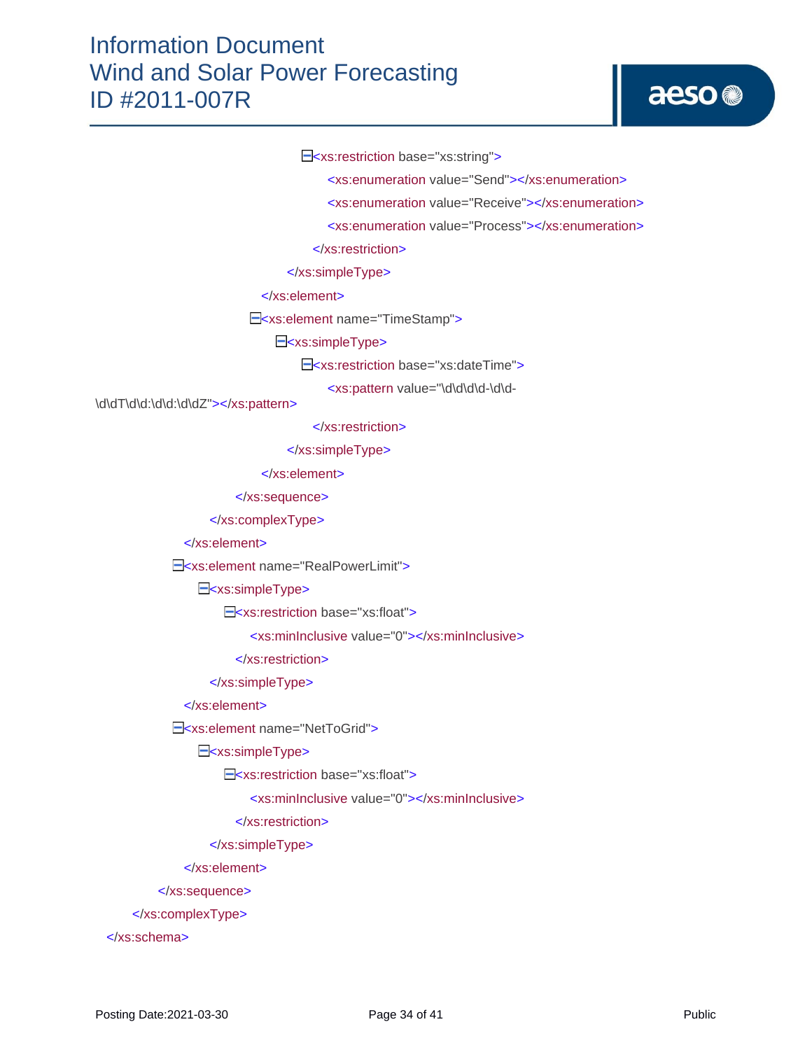<xs:restriction base="xs:string">

<xs:enumeration value="Send"></xs:enumeration>

<xs:enumeration value="Receive"></xs:enumeration>

<xs:enumeration value="Process"></xs:enumeration>

</xs:restriction>

</xs:simpleType>

</xs:element>

E<xs:element name="TimeStamp">

E<xs:simpleType>

E<xs:restriction base="xs:dateTime">

<xs:pattern value="\d\d\d\d-\d\d-

\d\dT\d\d:\d\d:\d\dZ"></xs:pattern>

</xs:restriction>

</xs:simpleType>

</xs:element>

</xs:sequence>

</xs:complexType>

</xs:element>

E<xs:element name="RealPowerLimit">

E<xs:simpleType>

E<xs:restriction base="xs:float">

<xs:minInclusive value="0"></xs:minInclusive>

</xs:restriction>

</xs:simpleType>

#### </xs:element>

E<xs:element name="NetToGrid">

E<xs:simpleType>

E<xs:restriction base="xs:float">

<xs:minInclusive value="0"></xs:minInclusive>

</xs:restriction>

</xs:simpleType>

</xs:element>

</xs:sequence>

</xs:complexType>

</xs:schema>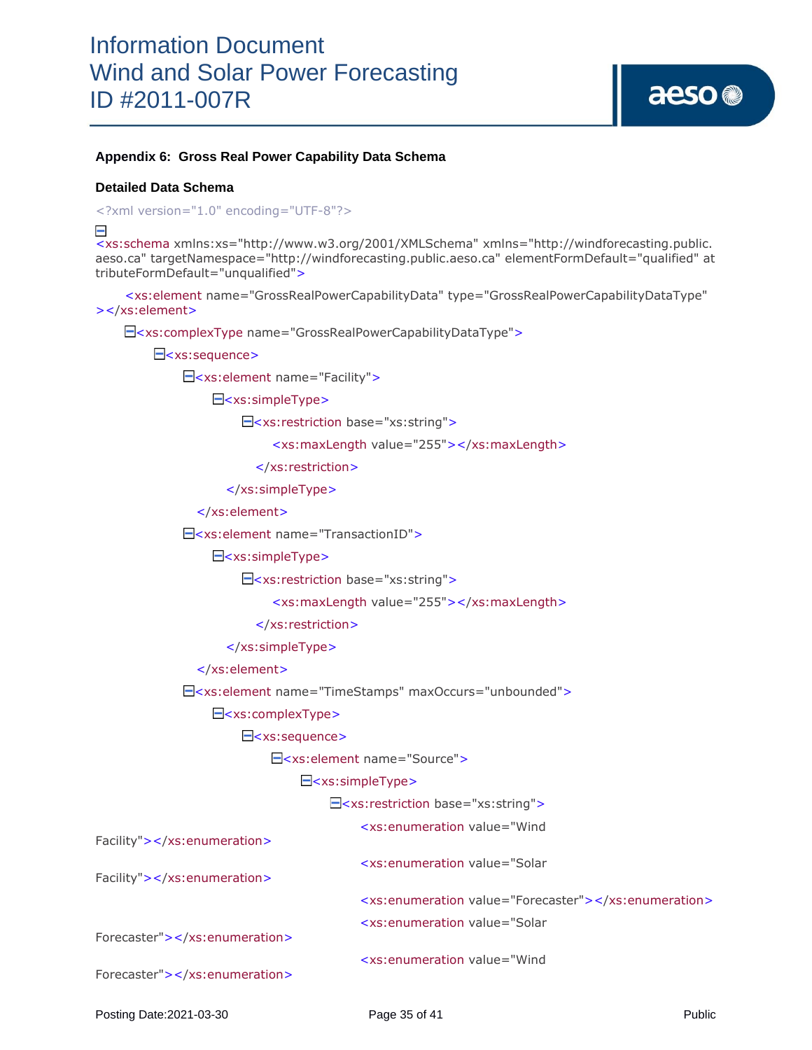#### **Appendix 6: Gross Real Power Capability Data Schema**

#### **Detailed Data Schema**

<?xml version="1.0" encoding="UTF-8"?>

 $\equiv$ 

<xs:schema xmlns:xs="http://www.w3.org/2001/XMLSchema" xmlns="http://windforecasting.public. aeso.ca" targetNamespace="http://windforecasting.public.aeso.ca" elementFormDefault="qualified" at tributeFormDefault="unqualified">

 <xs:element name="GrossRealPowerCapabilityData" type="GrossRealPowerCapabilityDataType" ></xs:element>

<xs:complexType name="GrossRealPowerCapabilityDataType">

E<xs:sequence>

<xs:element name="Facility">

E<xs:simpleType>

<xs:restriction base="xs:string">

<xs:maxLength value="255"></xs:maxLength>

</xs:restriction>

</xs:simpleType>

</xs:element>

<xs:element name="TransactionID">

E<xs:simpleType>

<xs:restriction base="xs:string">

<xs:maxLength value="255"></xs:maxLength>

</xs:restriction>

</xs:simpleType>

</xs:element>

<xs:element name="TimeStamps" maxOccurs="unbounded">

<xs:complexType>

E<xs:sequence>

<xs:element name="Source">

#### E<xs:simpleType>

<xs:restriction base="xs:string">

<xs:enumeration value="Wind

| Facility"> |                                                                                                                                                        |  |
|------------|--------------------------------------------------------------------------------------------------------------------------------------------------------|--|
| Facility"> | <xs:enumeration forecaster"="" value="Solar&lt;/td&gt;&lt;/tr&gt;&lt;tr&gt;&lt;td&gt;&lt;/td&gt;&lt;td&gt;&lt;xs:enumeration value="></xs:enumeration> |  |
|            | <xs:enumeration value="Solar&lt;/td&gt;&lt;/tr&gt;&lt;tr&gt;&lt;td&gt;Forecaster"></xs:enumeration>                                                    |  |
|            | <xs:enumeration value="Wind&lt;/td&gt;&lt;/tr&gt;&lt;tr&gt;&lt;td&gt;Forecaster"></xs:enumeration>                                                     |  |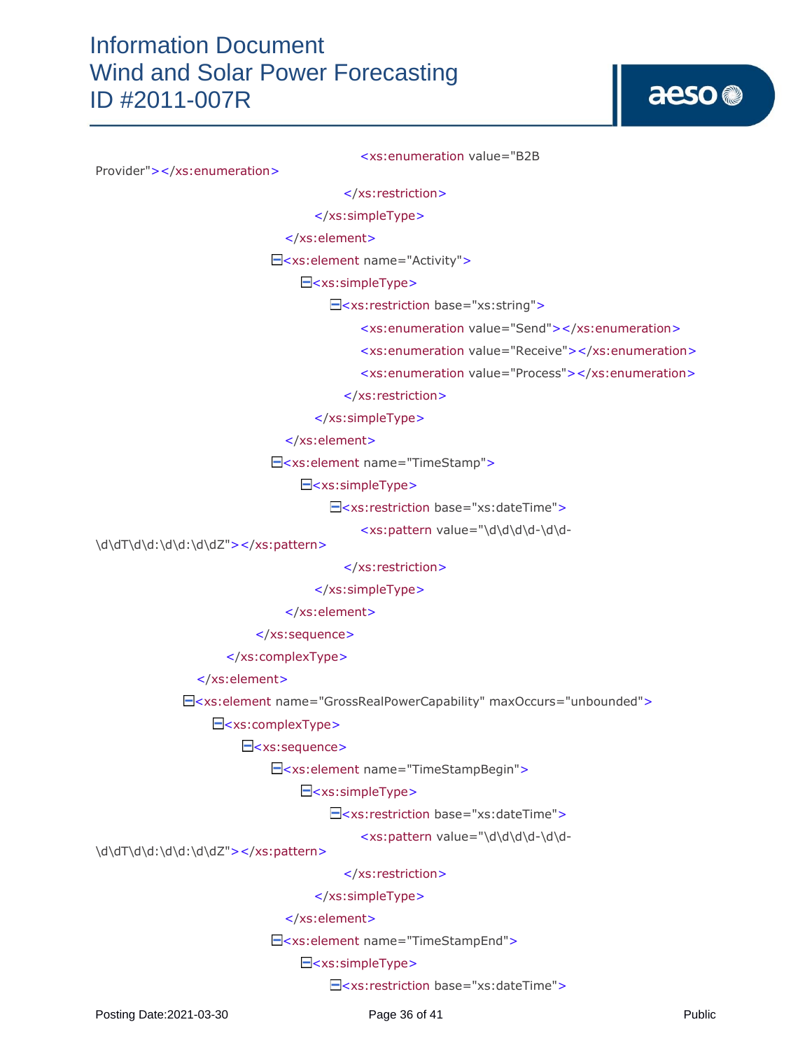<xs:enumeration value="B2B

Provider"></xs:enumeration>

</xs:restriction>

</xs:simpleType>

</xs:element>

<xs:element name="Activity">

E<xs:simpleType>

<xs:restriction base="xs:string">

<xs:enumeration value="Send"></xs:enumeration>

<xs:enumeration value="Receive"></xs:enumeration>

<xs:enumeration value="Process"></xs:enumeration>

</xs:restriction>

</xs:simpleType>

### </xs:element>

<xs:element name="TimeStamp">

E<xs:simpleType>

E<xs:restriction base="xs:dateTime">

<xs:pattern value="\d\d\d\d-\d\d-

\d\dT\d\d:\d\d:\d\dZ"></xs:pattern>

</xs:restriction>

</xs:simpleType>

</xs:element>

</xs:sequence>

</xs:complexType>

</xs:element>

<xs:element name="GrossRealPowerCapability" maxOccurs="unbounded">

 $\Xi$ <xs:complexType>

E<xs:sequence>

<xs:element name="TimeStampBegin">

E<xs:simpleType>

E<xs:restriction base="xs:dateTime">

<xs:pattern value="\d\d\d\d-\d\d-

\d\dT\d\d:\d\d:\d\dZ"></xs:pattern>

</xs:restriction>

</xs:simpleType>

</xs:element>

<xs:element name="TimeStampEnd">

## <xs:simpleType>

E<xs:restriction base="xs:dateTime">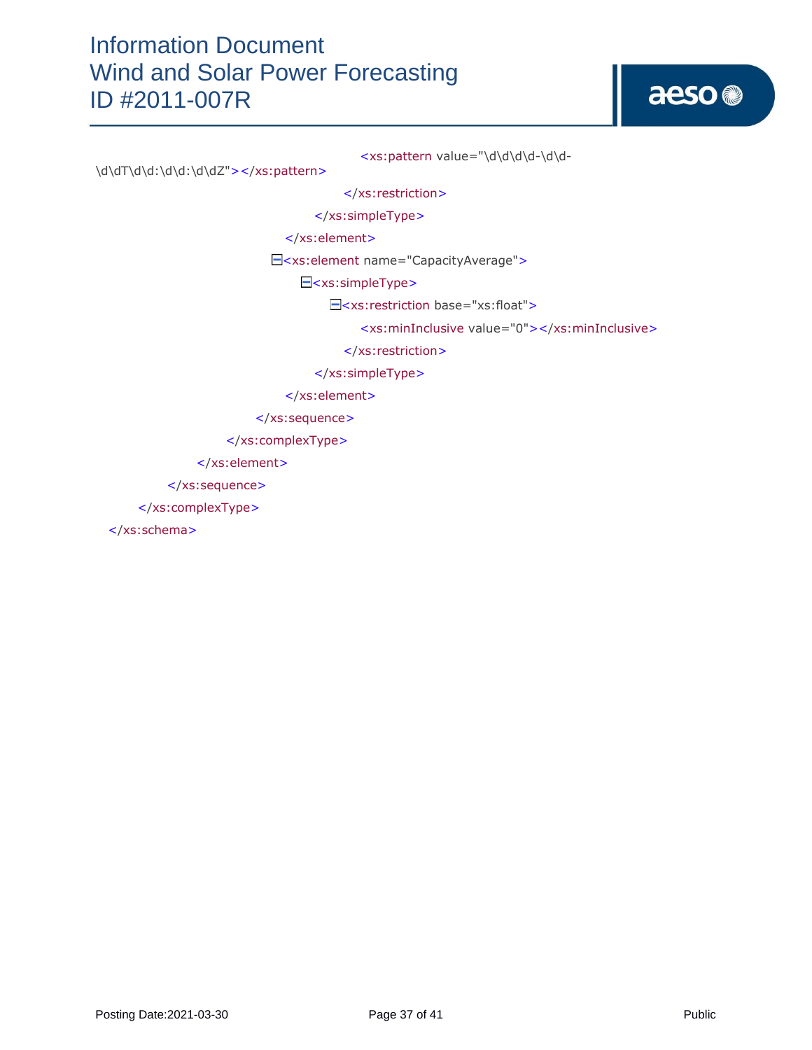

<xs:pattern value="\d\d\d\d-\d\d-

\d\dT\d\d:\d\d:\d\dZ"></xs:pattern>

</xs:restriction>

</xs:simpleType>

</xs:element>

<xs:element name="CapacityAverage">

E<xs:simpleType>

<xs:restriction base="xs:float">

<xs:minInclusive value="0"></xs:minInclusive>

</xs:restriction>

</xs:simpleType>

</xs:element>

</xs:sequence>

</xs:complexType>

</xs:element>

</xs:sequence>

</xs:complexType>

</xs:schema>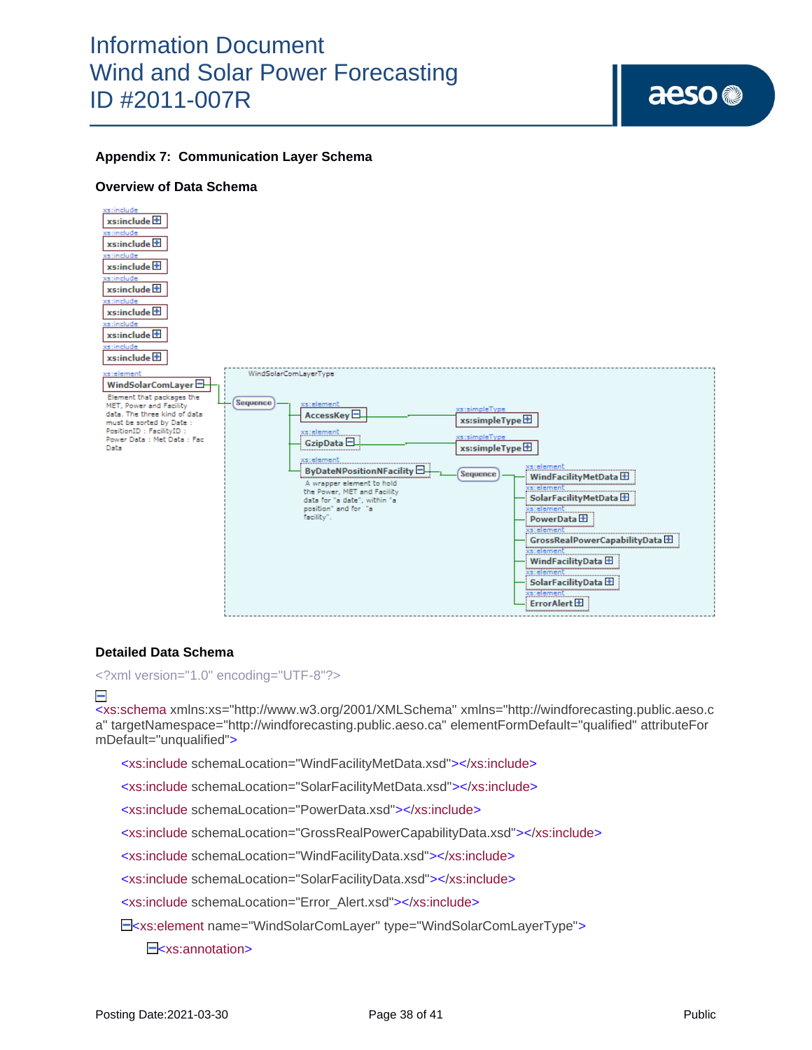### **Appendix 7: Communication Layer Schema**

### **Overview of Data Schema**



### **Detailed Data Schema**

<?xml version="1.0" encoding="UTF-8"?>

### Е

<xs:schema xmlns:xs="http://www.w3.org/2001/XMLSchema" xmlns="http://windforecasting.public.aeso.c a" targetNamespace="http://windforecasting.public.aeso.ca" elementFormDefault="qualified" attributeFor mDefault="unqualified">

<xs:include schemaLocation="WindFacilityMetData.xsd"></xs:include>

<xs:include schemaLocation="SolarFacilityMetData.xsd"></xs:include>

<xs:include schemaLocation="PowerData.xsd"></xs:include>

<xs:include schemaLocation="GrossRealPowerCapabilityData.xsd"></xs:include>

<xs:include schemaLocation="WindFacilityData.xsd"></xs:include>

<xs:include schemaLocation="SolarFacilityData.xsd"></xs:include>

<xs:include schemaLocation="Error\_Alert.xsd"></xs:include>

<xs:element name="WindSolarComLayer" type="WindSolarComLayerType">

E<sub>sxs:annotation></sub>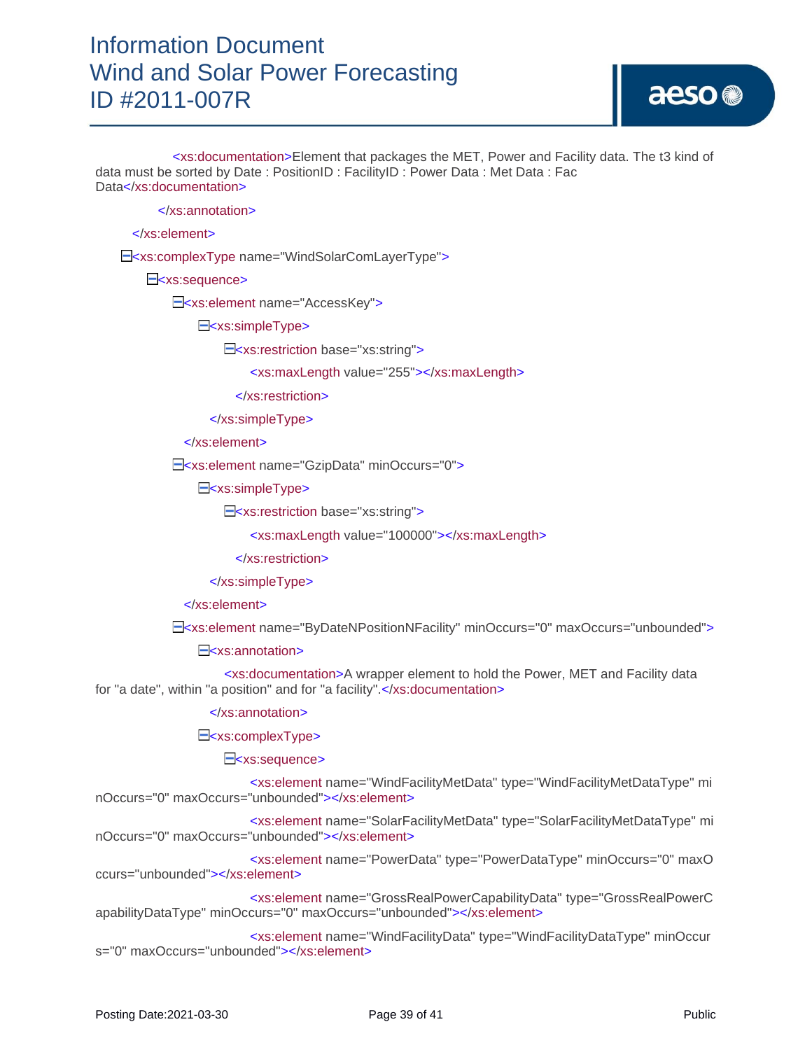aeso<sup>®</sup>

 <xs:documentation>Element that packages the MET, Power and Facility data. The t3 kind of data must be sorted by Date : PositionID : FacilityID : Power Data : Met Data : Fac Data</xs:documentation>

</xs:annotation>

</xs:element>

<xs:complexType name="WindSolarComLayerType">

E<xs:sequence>

E<xs:element name="AccessKey">

E<xs:simpleType>

<xs:restriction base="xs:string">

<xs:maxLength value="255"></xs:maxLength>

</xs:restriction>

</xs:simpleType>

</xs:element>

<xs:element name="GzipData" minOccurs="0">

E<xs:simpleType>

E<xs:restriction base="xs:string">

<xs:maxLength value="100000"></xs:maxLength>

</xs:restriction>

</xs:simpleType>

</xs:element>

<xs:element name="ByDateNPositionNFacility" minOccurs="0" maxOccurs="unbounded">

E<sub>sxs:annotation></sub>

 <xs:documentation>A wrapper element to hold the Power, MET and Facility data for "a date", within "a position" and for "a facility".</xs:documentation>

</xs:annotation>

E<xs:complexType>

E<xs:sequence>

 <xs:element name="WindFacilityMetData" type="WindFacilityMetDataType" mi nOccurs="0" maxOccurs="unbounded"></xs:element>

 <xs:element name="SolarFacilityMetData" type="SolarFacilityMetDataType" mi nOccurs="0" maxOccurs="unbounded"></xs:element>

 <xs:element name="PowerData" type="PowerDataType" minOccurs="0" maxO ccurs="unbounded"></xs:element>

 <xs:element name="GrossRealPowerCapabilityData" type="GrossRealPowerC apabilityDataType" minOccurs="0" maxOccurs="unbounded"></xs:element>

 <xs:element name="WindFacilityData" type="WindFacilityDataType" minOccur s="0" maxOccurs="unbounded"></xs:element>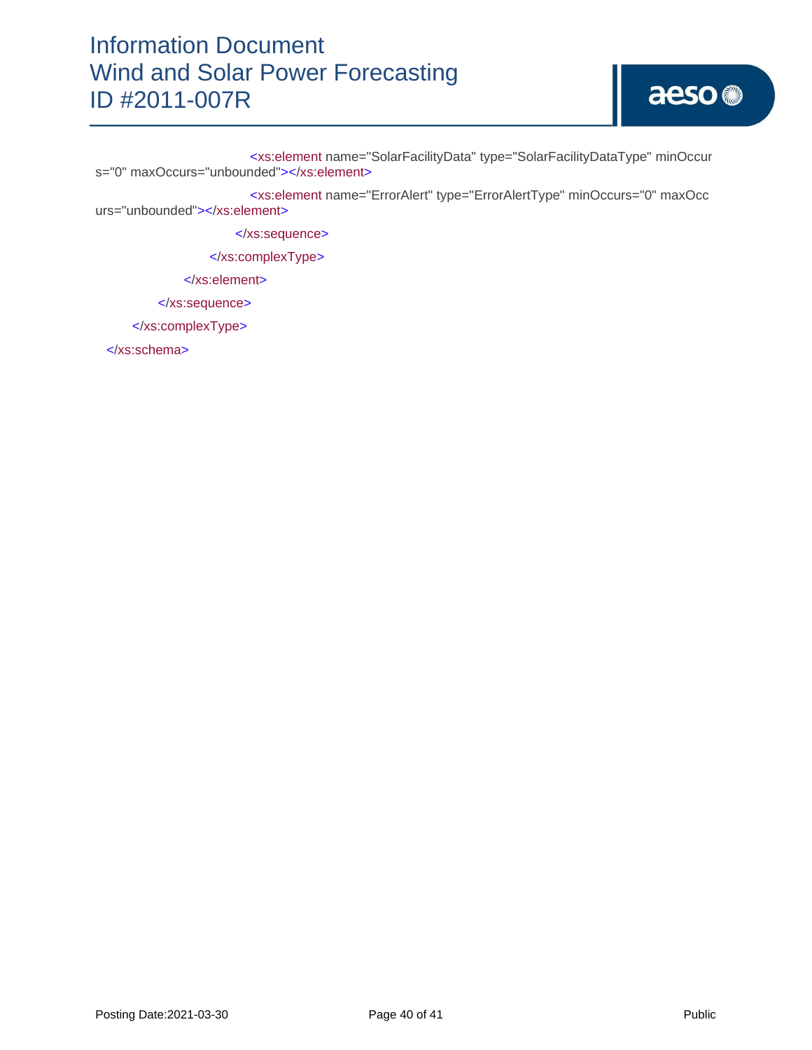<xs:element name="SolarFacilityData" type="SolarFacilityDataType" minOccur s="0" maxOccurs="unbounded"></xs:element>

 <xs:element name="ErrorAlert" type="ErrorAlertType" minOccurs="0" maxOcc urs="unbounded"></xs:element>

</xs:sequence>

</xs:complexType>

</xs:element>

</xs:sequence>

</xs:complexType>

</xs:schema>

aeso<sup>®</sup>